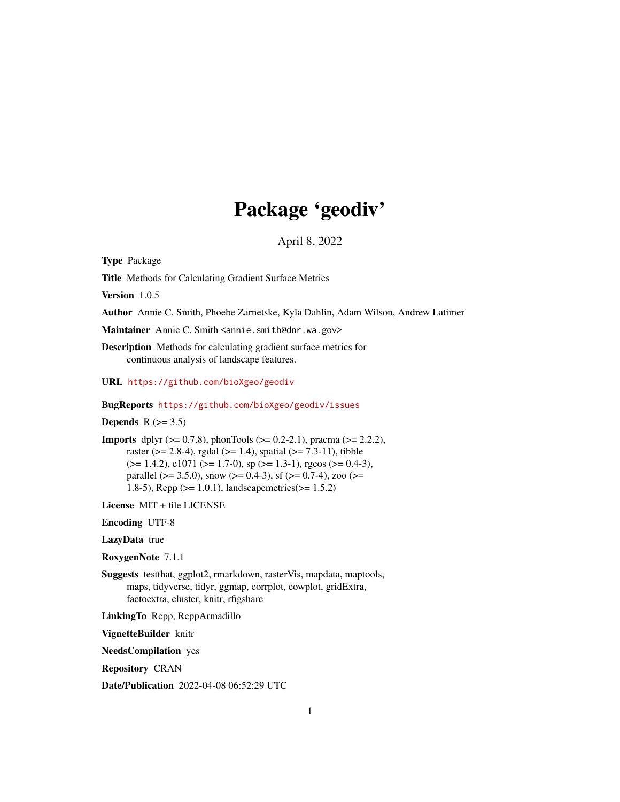# Package 'geodiv'

April 8, 2022

Type Package

Title Methods for Calculating Gradient Surface Metrics

Version 1.0.5

Author Annie C. Smith, Phoebe Zarnetske, Kyla Dahlin, Adam Wilson, Andrew Latimer

Maintainer Annie C. Smith <annie.smith@dnr.wa.gov>

Description Methods for calculating gradient surface metrics for continuous analysis of landscape features.

URL <https://github.com/bioXgeo/geodiv>

BugReports <https://github.com/bioXgeo/geodiv/issues>

Depends  $R$  ( $>= 3.5$ )

**Imports** dplyr ( $> = 0.7.8$ ), phonTools ( $> = 0.2-2.1$ ), pracma ( $> = 2.2.2$ ), raster ( $> = 2.8-4$ ), rgdal ( $>= 1.4$ ), spatial ( $>= 7.3-11$ ), tibble  $(>= 1.4.2)$ , e1071 ( $>= 1.7-0$ ), sp ( $>= 1.3-1$ ), rgeos ( $>= 0.4-3$ ), parallel ( $>= 3.5.0$ ), snow ( $>= 0.4-3$ ), sf ( $>= 0.7-4$ ), zoo ( $>=$ 1.8-5), Rcpp (>= 1.0.1), landscapemetrics(>= 1.5.2)

License MIT + file LICENSE

Encoding UTF-8

LazyData true

RoxygenNote 7.1.1

Suggests testthat, ggplot2, rmarkdown, rasterVis, mapdata, maptools, maps, tidyverse, tidyr, ggmap, corrplot, cowplot, gridExtra, factoextra, cluster, knitr, rfigshare

LinkingTo Rcpp, RcppArmadillo

VignetteBuilder knitr

NeedsCompilation yes

Repository CRAN

Date/Publication 2022-04-08 06:52:29 UTC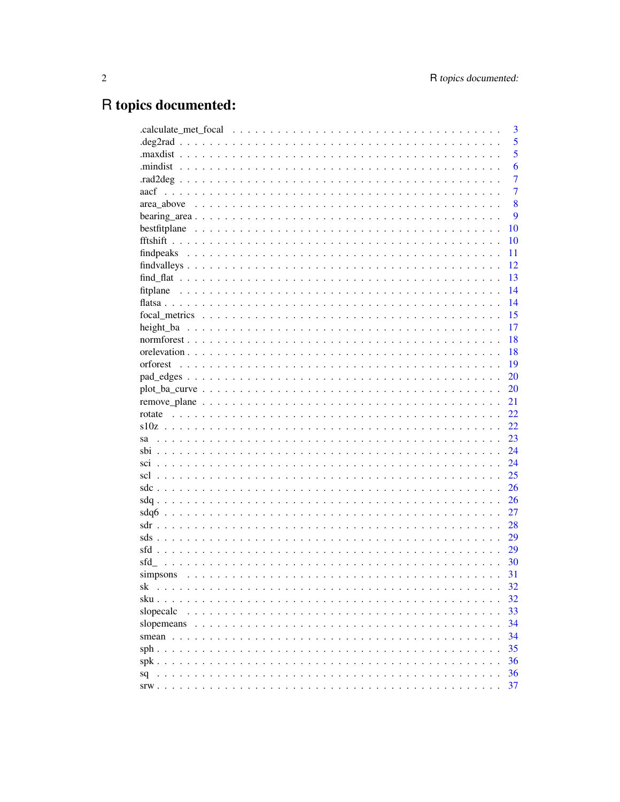# R topics documented:

|            | 3              |
|------------|----------------|
|            | 5              |
|            | 5              |
|            | 6              |
|            | $\overline{7}$ |
|            | $\overline{7}$ |
|            | 8              |
|            | 9              |
|            | 10             |
|            | 10             |
|            | 11             |
|            | 12             |
|            | 13             |
|            | 14             |
|            | 14             |
|            | 15             |
|            | 17             |
|            | 18             |
|            | 18             |
|            | 19             |
|            | 20             |
|            | 20             |
|            | 21             |
| rotate     | 22             |
|            | 22             |
| sa         | 23             |
|            | 24             |
|            | 24             |
|            | 25             |
|            | 26             |
|            | 26             |
|            | 27             |
|            | 28             |
|            | 29             |
|            | 29             |
|            |                |
| sfd        | 30             |
| simpsons   | 31             |
| sk         | 32             |
| sku.       | 32             |
| slopecalc  | 33             |
| slopemeans | 34             |
|            | 34             |
|            | 35             |
| $spk$      | 36             |
| sq         | 36             |
|            | 37             |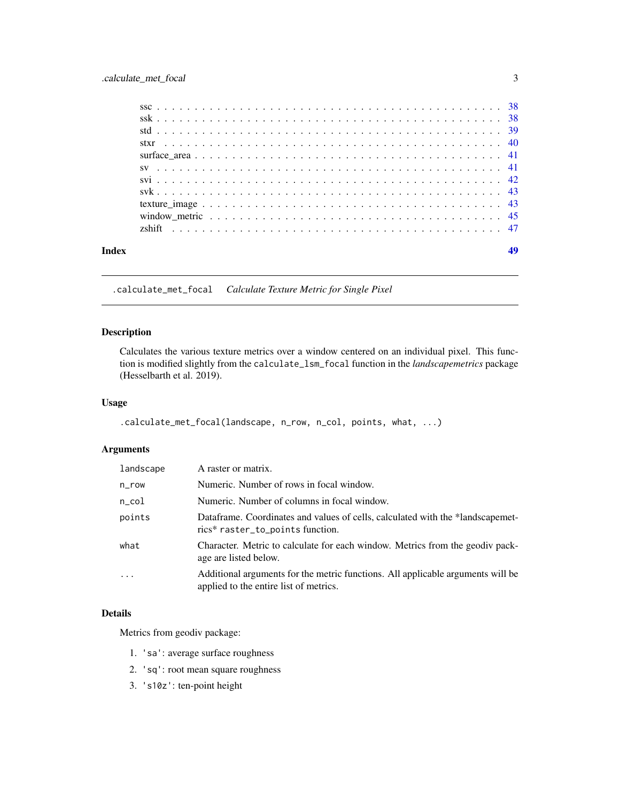<span id="page-2-0"></span>

.calculate\_met\_focal *Calculate Texture Metric for Single Pixel*

# Description

Calculates the various texture metrics over a window centered on an individual pixel. This function is modified slightly from the calculate\_lsm\_focal function in the *landscapemetrics* package (Hesselbarth et al. 2019).

#### Usage

```
.calculate_met_focal(landscape, n_row, n_col, points, what, ...)
```
# Arguments

| landscape | A raster or matrix.                                                                                                       |
|-----------|---------------------------------------------------------------------------------------------------------------------------|
| n_row     | Numeric. Number of rows in focal window.                                                                                  |
| n_col     | Numeric. Number of columns in focal window.                                                                               |
| points    | Dataframe. Coordinates and values of cells, calculated with the *landscapemet-<br>rics* raster_to_points function.        |
| what      | Character. Metric to calculate for each window. Metrics from the geodiv pack-<br>age are listed below.                    |
| $\ddots$  | Additional arguments for the metric functions. All applicable arguments will be<br>applied to the entire list of metrics. |

# Details

Metrics from geodiv package:

- 1. 'sa': average surface roughness
- 2. 'sq': root mean square roughness
- 3. 's10z': ten-point height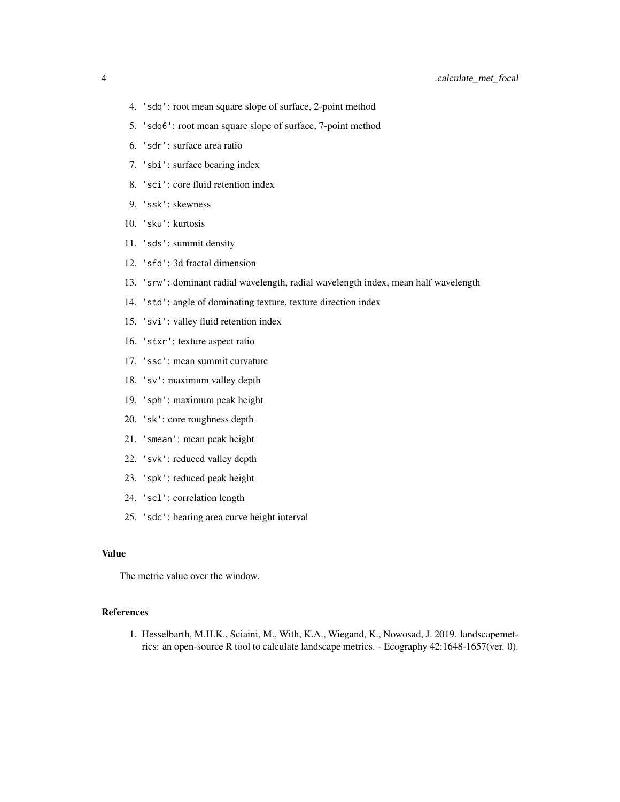- 4. 'sdq': root mean square slope of surface, 2-point method
- 5. 'sdq6': root mean square slope of surface, 7-point method
- 6. 'sdr': surface area ratio
- 7. 'sbi': surface bearing index
- 8. 'sci': core fluid retention index
- 9. 'ssk': skewness
- 10. 'sku': kurtosis
- 11. 'sds': summit density
- 12. 'sfd': 3d fractal dimension
- 13. 'srw': dominant radial wavelength, radial wavelength index, mean half wavelength
- 14. 'std': angle of dominating texture, texture direction index
- 15. 'svi': valley fluid retention index
- 16. 'stxr': texture aspect ratio
- 17. 'ssc': mean summit curvature
- 18. 'sv': maximum valley depth
- 19. 'sph': maximum peak height
- 20. 'sk': core roughness depth
- 21. 'smean': mean peak height
- 22. 'svk': reduced valley depth
- 23. 'spk': reduced peak height
- 24. 'scl': correlation length
- 25. 'sdc': bearing area curve height interval

#### Value

The metric value over the window.

#### References

1. Hesselbarth, M.H.K., Sciaini, M., With, K.A., Wiegand, K., Nowosad, J. 2019. landscapemetrics: an open-source R tool to calculate landscape metrics. - Ecography 42:1648-1657(ver. 0).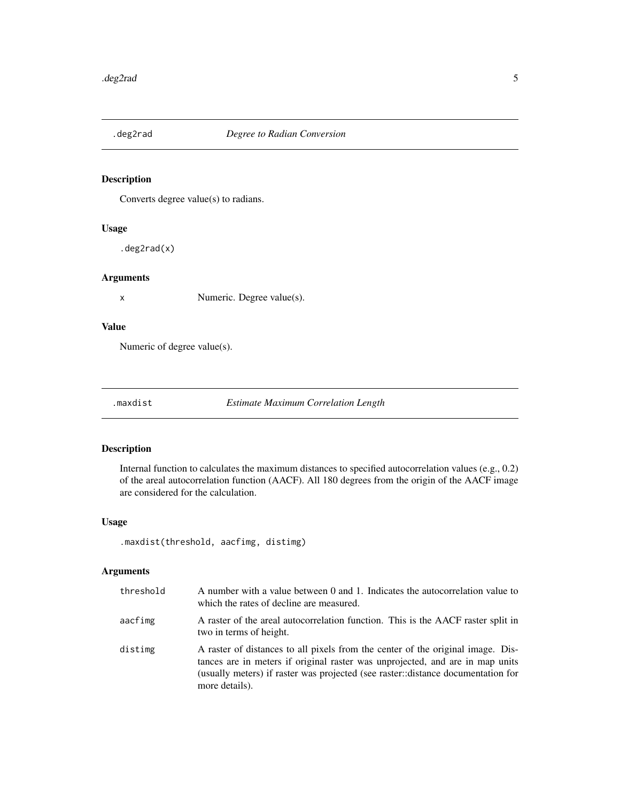<span id="page-4-0"></span>

Converts degree value(s) to radians.

# Usage

.deg2rad(x)

# Arguments

x Numeric. Degree value(s).

# Value

Numeric of degree value(s).

.maxdist *Estimate Maximum Correlation Length*

# Description

Internal function to calculates the maximum distances to specified autocorrelation values (e.g., 0.2) of the areal autocorrelation function (AACF). All 180 degrees from the origin of the AACF image are considered for the calculation.

# Usage

```
.maxdist(threshold, aacfimg, distimg)
```
# Arguments

| threshold | A number with a value between 0 and 1. Indicates the autocorrelation value to<br>which the rates of decline are measured.                                                                                                                                              |
|-----------|------------------------------------------------------------------------------------------------------------------------------------------------------------------------------------------------------------------------------------------------------------------------|
| aacfimg   | A raster of the areal autocorrelation function. This is the AACF raster split in<br>two in terms of height.                                                                                                                                                            |
| distimg   | A raster of distances to all pixels from the center of the original image. Dis-<br>tances are in meters if original raster was unprojected, and are in map units<br>(usually meters) if raster was projected (see raster::distance documentation for<br>more details). |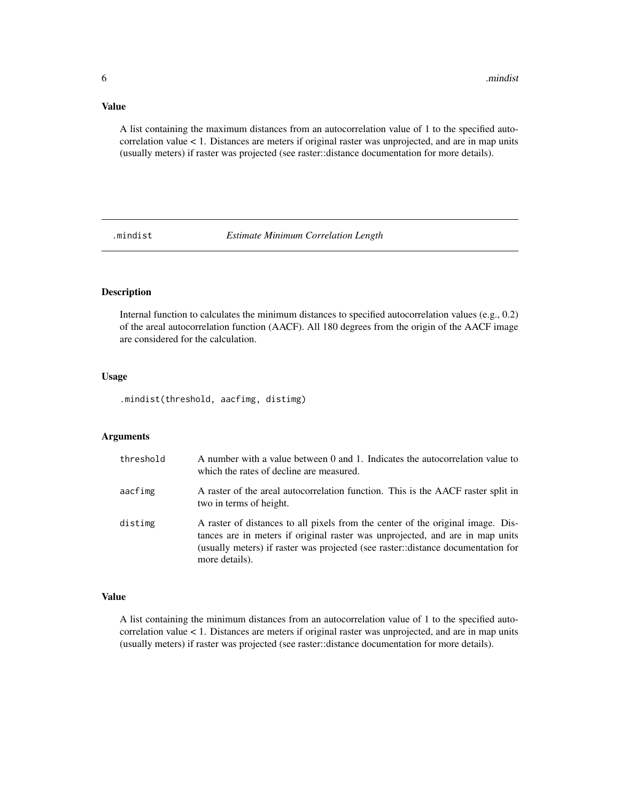#### <span id="page-5-0"></span>Value

A list containing the maximum distances from an autocorrelation value of 1 to the specified autocorrelation value < 1. Distances are meters if original raster was unprojected, and are in map units (usually meters) if raster was projected (see raster::distance documentation for more details).

.mindist *Estimate Minimum Correlation Length*

# Description

Internal function to calculates the minimum distances to specified autocorrelation values (e.g., 0.2) of the areal autocorrelation function (AACF). All 180 degrees from the origin of the AACF image are considered for the calculation.

# Usage

.mindist(threshold, aacfimg, distimg)

# Arguments

| threshold | A number with a value between 0 and 1. Indicates the autocorrelation value to<br>which the rates of decline are measured.                                                                                                                                              |
|-----------|------------------------------------------------------------------------------------------------------------------------------------------------------------------------------------------------------------------------------------------------------------------------|
| aacfimg   | A raster of the areal autocorrelation function. This is the AACF raster split in<br>two in terms of height.                                                                                                                                                            |
| distimg   | A raster of distances to all pixels from the center of the original image. Dis-<br>tances are in meters if original raster was unprojected, and are in map units<br>(usually meters) if raster was projected (see raster::distance documentation for<br>more details). |

# Value

A list containing the minimum distances from an autocorrelation value of 1 to the specified autocorrelation value < 1. Distances are meters if original raster was unprojected, and are in map units (usually meters) if raster was projected (see raster::distance documentation for more details).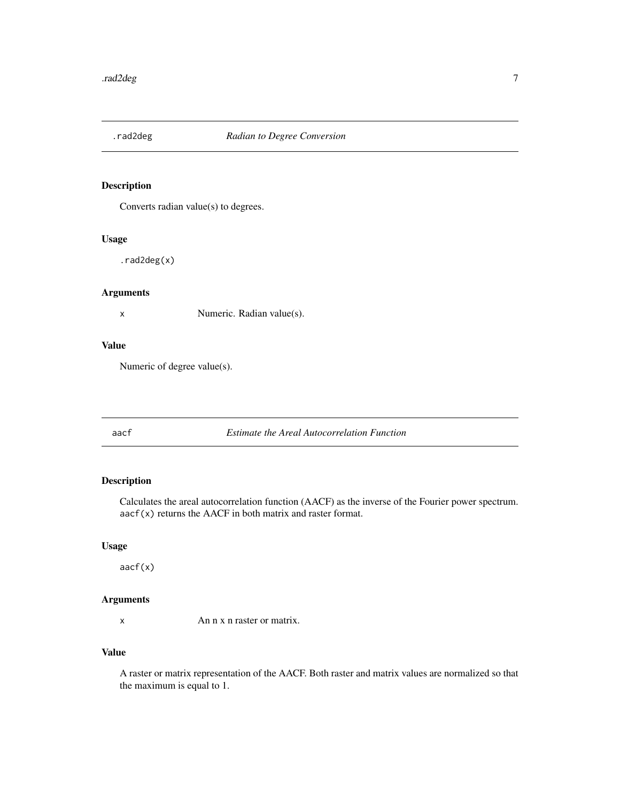<span id="page-6-0"></span>

Converts radian value(s) to degrees.

# Usage

.rad2deg(x)

# Arguments

x Numeric. Radian value(s).

# Value

Numeric of degree value(s).

aacf *Estimate the Areal Autocorrelation Function*

# Description

Calculates the areal autocorrelation function (AACF) as the inverse of the Fourier power spectrum. aacf(x) returns the AACF in both matrix and raster format.

# Usage

aacf(x)

# Arguments

x An n x n raster or matrix.

# Value

A raster or matrix representation of the AACF. Both raster and matrix values are normalized so that the maximum is equal to 1.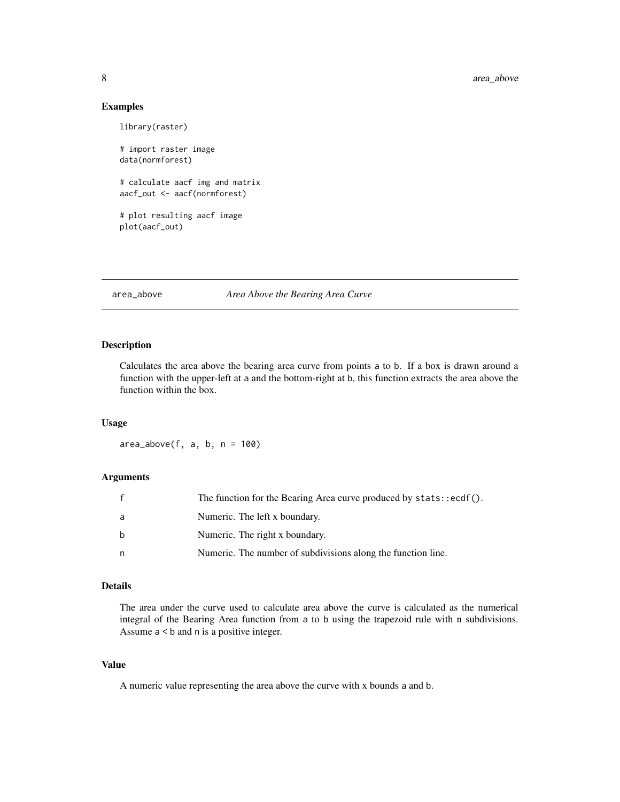# Examples

```
library(raster)
# import raster image
data(normforest)
# calculate aacf img and matrix
aacf_out <- aacf(normforest)
# plot resulting aacf image
plot(aacf_out)
```
# area\_above *Area Above the Bearing Area Curve*

#### Description

Calculates the area above the bearing area curve from points a to b. If a box is drawn around a function with the upper-left at a and the bottom-right at b, this function extracts the area above the function within the box.

# Usage

 $area_above(f, a, b, n = 100)$ 

#### Arguments

|    | The function for the Bearing Area curve produced by stats::ecdf(). |
|----|--------------------------------------------------------------------|
| a  | Numeric. The left x boundary.                                      |
| b  | Numeric. The right x boundary.                                     |
| n. | Numeric. The number of subdivisions along the function line.       |

# Details

The area under the curve used to calculate area above the curve is calculated as the numerical integral of the Bearing Area function from a to b using the trapezoid rule with n subdivisions. Assume a < b and n is a positive integer.

# Value

A numeric value representing the area above the curve with x bounds a and b.

<span id="page-7-0"></span>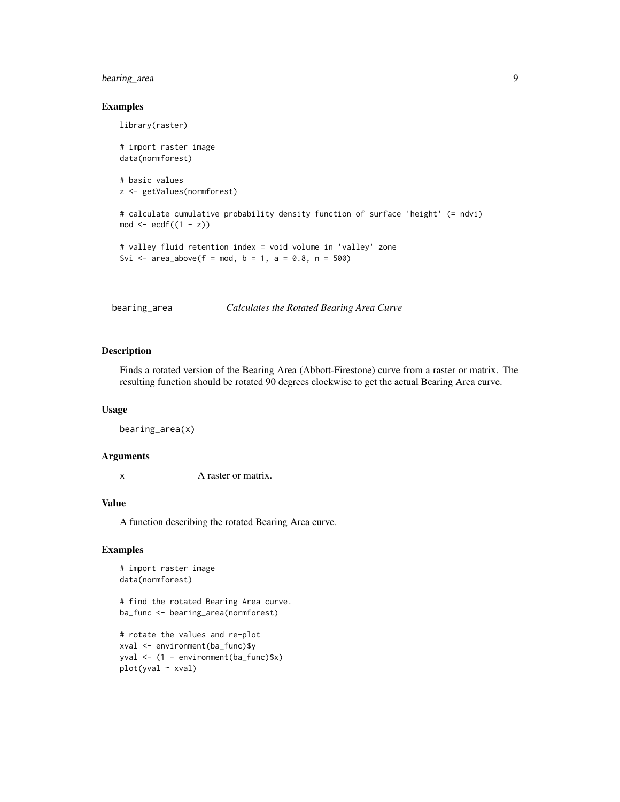# <span id="page-8-0"></span>bearing\_area 9

#### Examples

```
library(raster)
# import raster image
data(normforest)
# basic values
z <- getValues(normforest)
# calculate cumulative probability density function of surface 'height' (= ndvi)
mod \le ecdf((1 - z))# valley fluid retention index = void volume in 'valley' zone
Svi <- area\_above(f = mod, b = 1, a = 0.8, n = 500)
```
bearing\_area *Calculates the Rotated Bearing Area Curve*

# Description

Finds a rotated version of the Bearing Area (Abbott-Firestone) curve from a raster or matrix. The resulting function should be rotated 90 degrees clockwise to get the actual Bearing Area curve.

#### Usage

bearing\_area(x)

# Arguments

x A raster or matrix.

#### Value

A function describing the rotated Bearing Area curve.

#### Examples

```
# import raster image
data(normforest)
```
# find the rotated Bearing Area curve. ba\_func <- bearing\_area(normforest)

# rotate the values and re-plot xval <- environment(ba\_func)\$y yval <- (1 - environment(ba\_func)\$x) plot(yval ~ xval)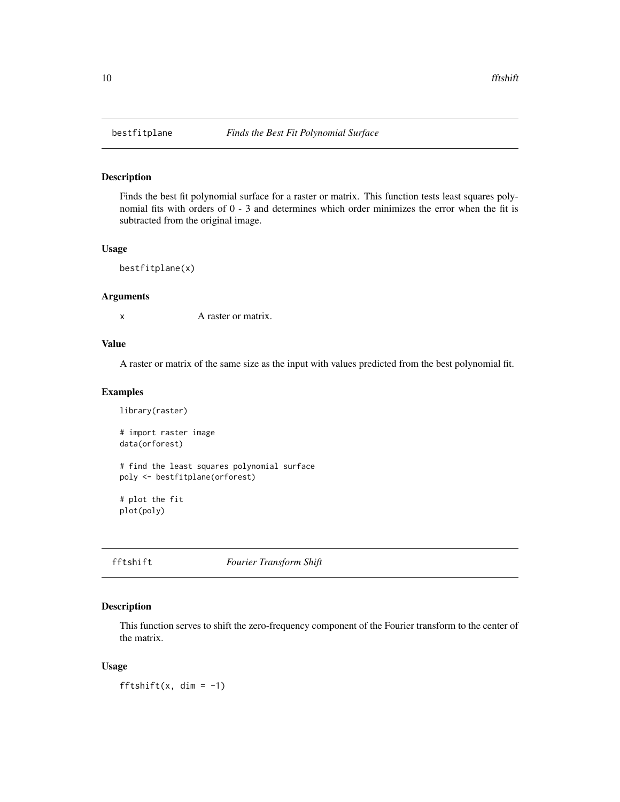Finds the best fit polynomial surface for a raster or matrix. This function tests least squares polynomial fits with orders of 0 - 3 and determines which order minimizes the error when the fit is subtracted from the original image.

#### Usage

```
bestfitplane(x)
```
#### Arguments

x A raster or matrix.

### Value

A raster or matrix of the same size as the input with values predicted from the best polynomial fit.

# Examples

```
library(raster)
# import raster image
data(orforest)
# find the least squares polynomial surface
poly <- bestfitplane(orforest)
# plot the fit
plot(poly)
```
fftshift *Fourier Transform Shift*

# Description

This function serves to shift the zero-frequency component of the Fourier transform to the center of the matrix.

# Usage

fftshift(x, dim =  $-1$ )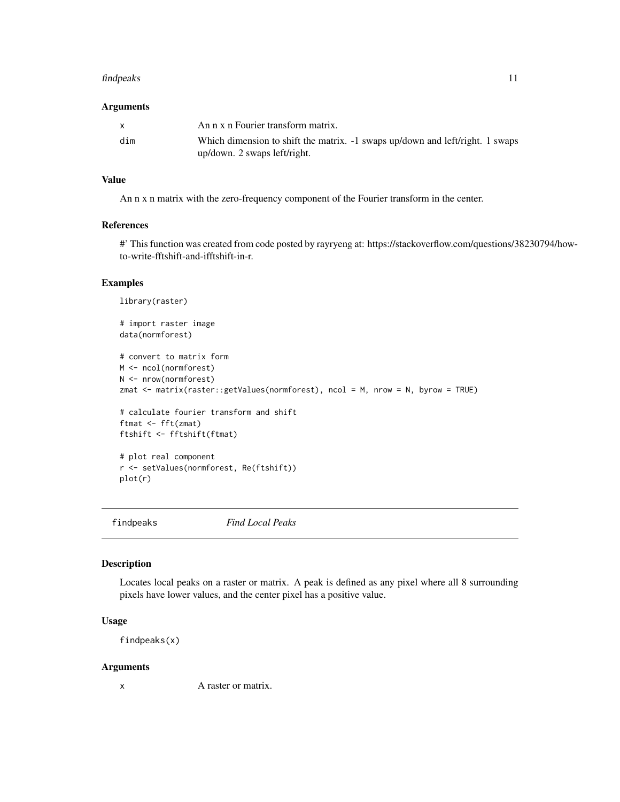#### <span id="page-10-0"></span>findpeaks and the state of the state of the state of the state of the state of the state of the state of the state of the state of the state of the state of the state of the state of the state of the state of the state of

#### Arguments

| $\mathbf{x}$ | An n x n Fourier transform matrix.                                                                            |
|--------------|---------------------------------------------------------------------------------------------------------------|
| dim          | Which dimension to shift the matrix. -1 swaps up/down and left/right. 1 swaps<br>up/down. 2 swaps left/right. |

# Value

An n x n matrix with the zero-frequency component of the Fourier transform in the center.

# References

#' This function was created from code posted by rayryeng at: https://stackoverflow.com/questions/38230794/howto-write-fftshift-and-ifftshift-in-r.

# Examples

```
library(raster)
# import raster image
data(normforest)
# convert to matrix form
M <- ncol(normforest)
N <- nrow(normforest)
zmat <- matrix(raster::getValues(normforest), ncol = M, nrow = N, byrow = TRUE)
# calculate fourier transform and shift
ftmat <- fft(zmat)
ftshift <- fftshift(ftmat)
# plot real component
r <- setValues(normforest, Re(ftshift))
plot(r)
```
findpeaks *Find Local Peaks*

# Description

Locates local peaks on a raster or matrix. A peak is defined as any pixel where all 8 surrounding pixels have lower values, and the center pixel has a positive value.

#### Usage

findpeaks(x)

#### Arguments

x A raster or matrix.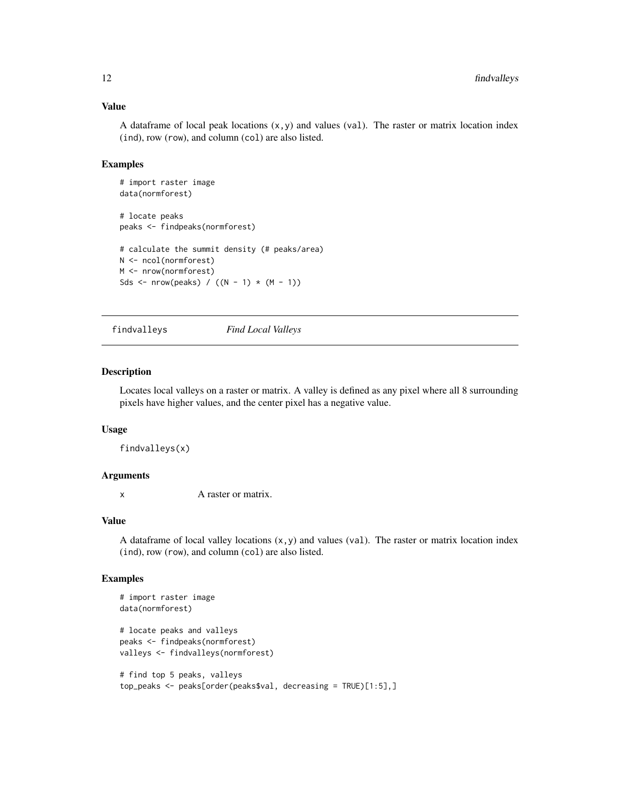#### Value

A dataframe of local peak locations  $(x, y)$  and values (val). The raster or matrix location index (ind), row (row), and column (col) are also listed.

### Examples

```
# import raster image
data(normforest)
# locate peaks
peaks <- findpeaks(normforest)
# calculate the summit density (# peaks/area)
N <- ncol(normforest)
M <- nrow(normforest)
Sds <- nrow(peaks) / ((N - 1) * (M - 1))
```
findvalleys *Find Local Valleys*

#### Description

Locates local valleys on a raster or matrix. A valley is defined as any pixel where all 8 surrounding pixels have higher values, and the center pixel has a negative value.

#### Usage

findvalleys(x)

#### Arguments

x A raster or matrix.

#### Value

A dataframe of local valley locations  $(x, y)$  and values (val). The raster or matrix location index (ind), row (row), and column (col) are also listed.

```
# import raster image
data(normforest)
# locate peaks and valleys
peaks <- findpeaks(normforest)
valleys <- findvalleys(normforest)
# find top 5 peaks, valleys
top_peaks <- peaks[order(peaks$val, decreasing = TRUE)[1:5],]
```
<span id="page-11-0"></span>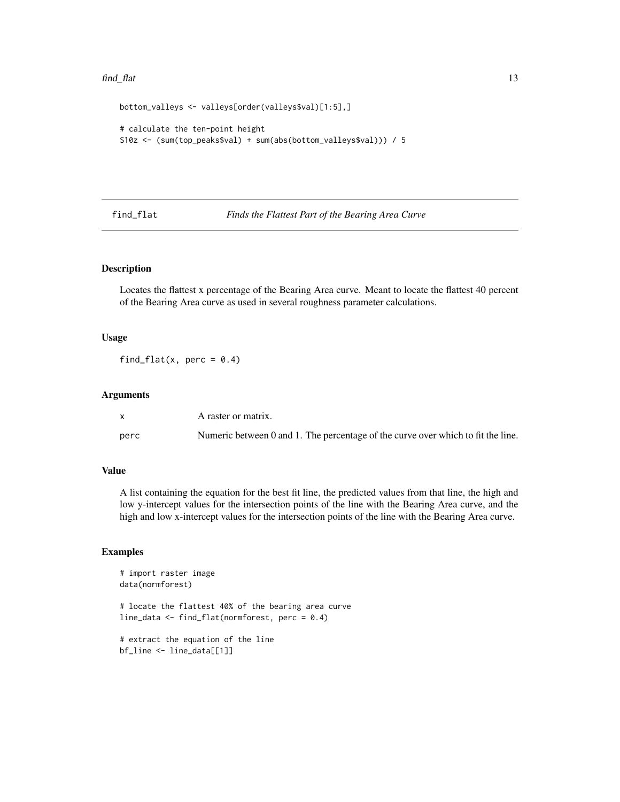#### <span id="page-12-0"></span>find\_flat 13

```
bottom_valleys <- valleys[order(valleys$val)[1:5],]
# calculate the ten-point height
S10z <- (sum(top_peaks$val) + sum(abs(bottom_valleys$val))) / 5
```
find\_flat *Finds the Flattest Part of the Bearing Area Curve*

# Description

Locates the flattest x percentage of the Bearing Area curve. Meant to locate the flattest 40 percent of the Bearing Area curve as used in several roughness parameter calculations.

#### Usage

find\_flat(x, perc =  $0.4$ )

# Arguments

|      | A raster or matrix.                                                              |
|------|----------------------------------------------------------------------------------|
| perc | Numeric between 0 and 1. The percentage of the curve over which to fit the line. |

#### Value

A list containing the equation for the best fit line, the predicted values from that line, the high and low y-intercept values for the intersection points of the line with the Bearing Area curve, and the high and low x-intercept values for the intersection points of the line with the Bearing Area curve.

```
# import raster image
data(normforest)
# locate the flattest 40% of the bearing area curve
line_data <- find_flat(normforest, perc = 0.4)
# extract the equation of the line
bf_line <- line_data[[1]]
```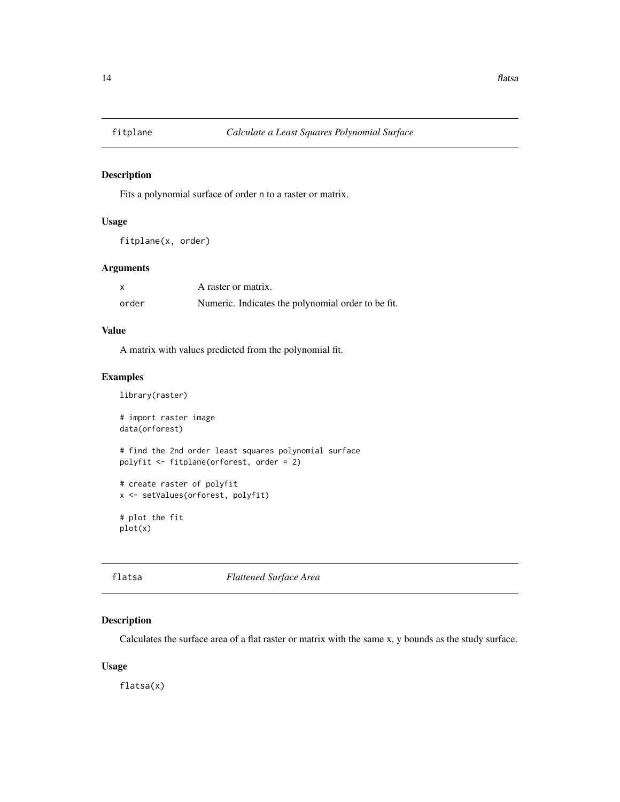<span id="page-13-0"></span>

Fits a polynomial surface of order n to a raster or matrix.

#### Usage

```
fitplane(x, order)
```
### Arguments

|       | A raster or matrix.                                |
|-------|----------------------------------------------------|
| order | Numeric. Indicates the polynomial order to be fit. |

#### Value

A matrix with values predicted from the polynomial fit.

#### Examples

```
library(raster)
# import raster image
data(orforest)
# find the 2nd order least squares polynomial surface
polyfit <- fitplane(orforest, order = 2)
# create raster of polyfit
x <- setValues(orforest, polyfit)
# plot the fit
plot(x)
```
flatsa *Flattened Surface Area*

# Description

Calculates the surface area of a flat raster or matrix with the same x, y bounds as the study surface.

# Usage

flatsa(x)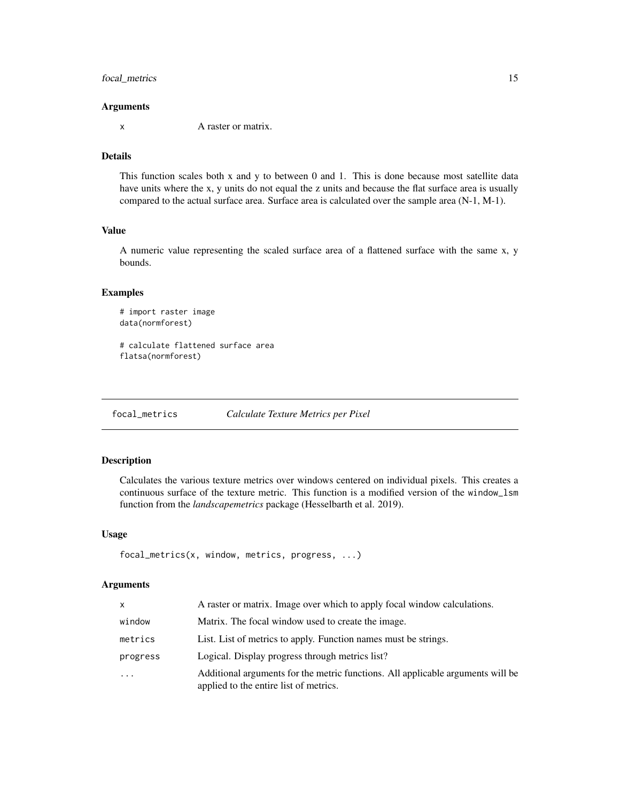# <span id="page-14-0"></span>focal\_metrics 15

#### Arguments

x A raster or matrix.

# Details

This function scales both x and y to between 0 and 1. This is done because most satellite data have units where the x, y units do not equal the z units and because the flat surface area is usually compared to the actual surface area. Surface area is calculated over the sample area (N-1, M-1).

### Value

A numeric value representing the scaled surface area of a flattened surface with the same x, y bounds.

#### Examples

```
# import raster image
data(normforest)
```
# calculate flattened surface area flatsa(normforest)

focal\_metrics *Calculate Texture Metrics per Pixel*

#### Description

Calculates the various texture metrics over windows centered on individual pixels. This creates a continuous surface of the texture metric. This function is a modified version of the window\_lsm function from the *landscapemetrics* package (Hesselbarth et al. 2019).

#### Usage

focal\_metrics(x, window, metrics, progress, ...)

# Arguments

| X          | A raster or matrix. Image over which to apply focal window calculations.                                                  |
|------------|---------------------------------------------------------------------------------------------------------------------------|
| window     | Matrix. The focal window used to create the image.                                                                        |
| metrics    | List. List of metrics to apply. Function names must be strings.                                                           |
| progress   | Logical. Display progress through metrics list?                                                                           |
| $\ddots$ . | Additional arguments for the metric functions. All applicable arguments will be<br>applied to the entire list of metrics. |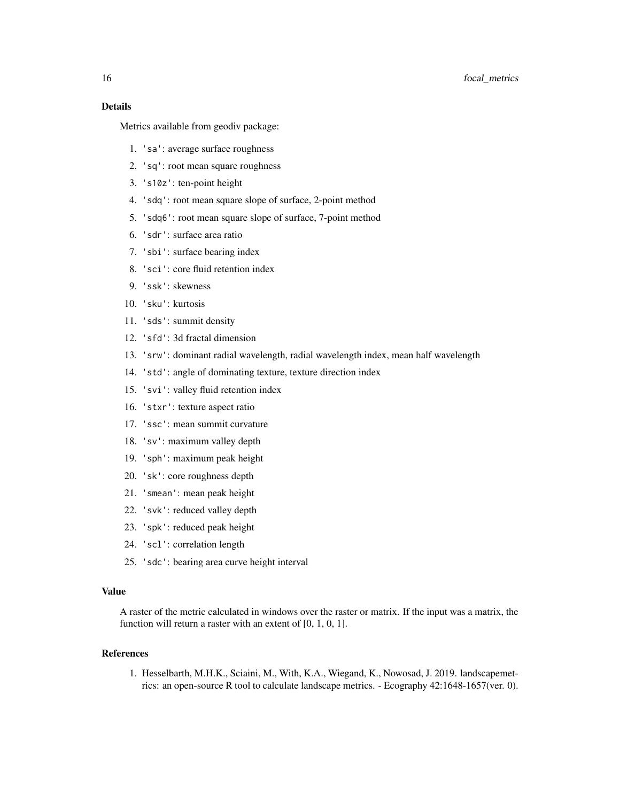# 16 focal\_metrics focal\_metrics focal\_metrics focal\_metrics focal\_metrics focal\_metrics focal\_metrics focal\_metrics focal\_metrics focal\_metrics focal\_metrics focal\_metrics focal\_metrics focal\_metrics focal\_metrics for  $\frac{1$

# Details

Metrics available from geodiv package:

- 1. 'sa': average surface roughness
- 2. 'sq': root mean square roughness
- 3. 's10z': ten-point height
- 4. 'sdq': root mean square slope of surface, 2-point method
- 5. 'sdq6': root mean square slope of surface, 7-point method
- 6. 'sdr': surface area ratio
- 7. 'sbi': surface bearing index
- 8. 'sci': core fluid retention index
- 9. 'ssk': skewness
- 10. 'sku': kurtosis
- 11. 'sds': summit density
- 12. 'sfd': 3d fractal dimension
- 13. 'srw': dominant radial wavelength, radial wavelength index, mean half wavelength
- 14. 'std': angle of dominating texture, texture direction index
- 15. 'svi': valley fluid retention index
- 16. 'stxr': texture aspect ratio
- 17. 'ssc': mean summit curvature
- 18. 'sv': maximum valley depth
- 19. 'sph': maximum peak height
- 20. 'sk': core roughness depth
- 21. 'smean': mean peak height
- 22. 'svk': reduced valley depth
- 23. 'spk': reduced peak height
- 24. 'scl': correlation length
- 25. 'sdc': bearing area curve height interval

#### Value

A raster of the metric calculated in windows over the raster or matrix. If the input was a matrix, the function will return a raster with an extent of  $[0, 1, 0, 1]$ .

# References

1. Hesselbarth, M.H.K., Sciaini, M., With, K.A., Wiegand, K., Nowosad, J. 2019. landscapemetrics: an open-source R tool to calculate landscape metrics. - Ecography 42:1648-1657(ver. 0).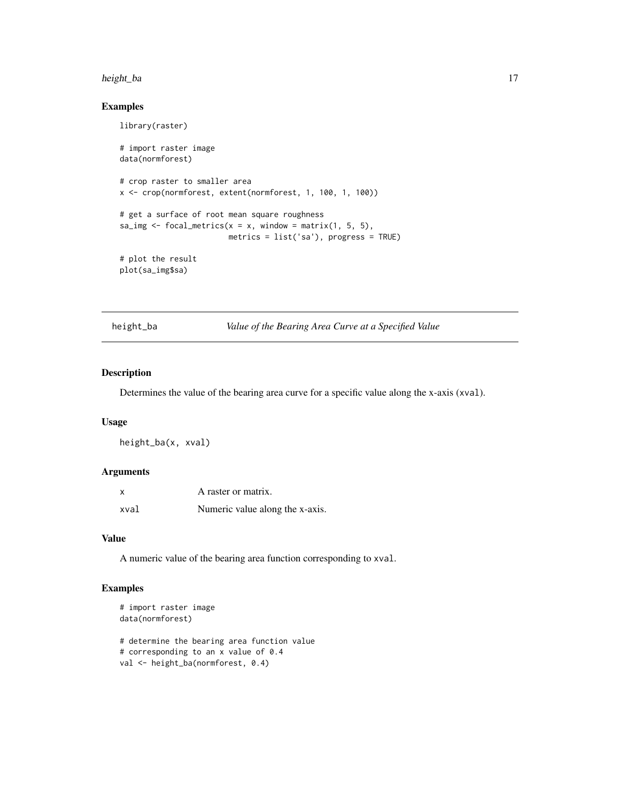#### <span id="page-16-0"></span>height\_ba 17

# Examples

library(raster)

```
# import raster image
data(normforest)
# crop raster to smaller area
x <- crop(normforest, extent(normforest, 1, 100, 1, 100))
# get a surface of root mean square roughness
sa_img \le focal_metrics(x = x, window = matrix(1, 5, 5),
                        metrics = list('sa'), progress = TRUE)
# plot the result
plot(sa_img$sa)
```
height\_ba *Value of the Bearing Area Curve at a Specified Value*

# Description

Determines the value of the bearing area curve for a specific value along the x-axis (xval).

#### Usage

height\_ba(x, xval)

#### Arguments

| X    | A raster or matrix.             |
|------|---------------------------------|
| xval | Numeric value along the x-axis. |

#### Value

A numeric value of the bearing area function corresponding to xval.

```
# import raster image
data(normforest)
# determine the bearing area function value
# corresponding to an x value of 0.4
val <- height_ba(normforest, 0.4)
```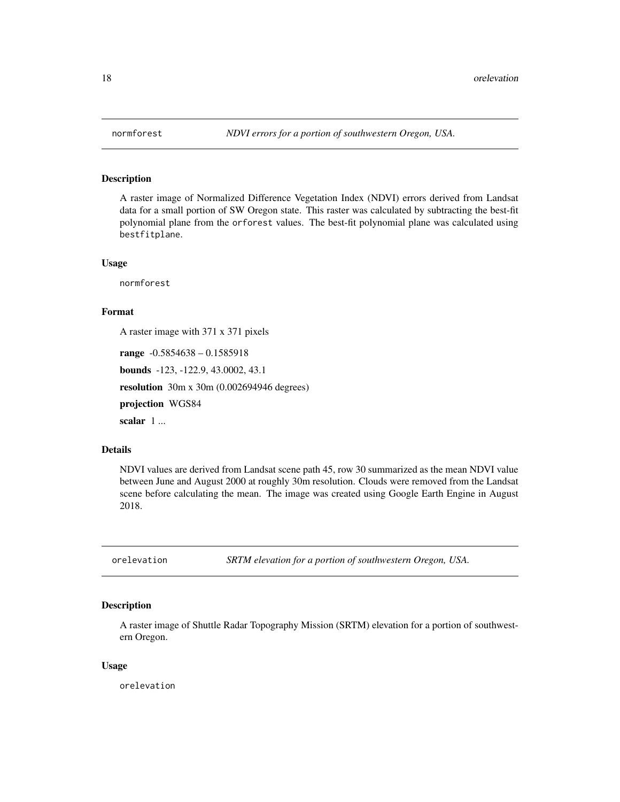A raster image of Normalized Difference Vegetation Index (NDVI) errors derived from Landsat data for a small portion of SW Oregon state. This raster was calculated by subtracting the best-fit polynomial plane from the orforest values. The best-fit polynomial plane was calculated using bestfitplane.

#### Usage

normforest

# Format

A raster image with 371 x 371 pixels

range -0.5854638 – 0.1585918

bounds -123, -122.9, 43.0002, 43.1

resolution 30m x 30m (0.002694946 degrees)

projection WGS84

scalar 1...

# Details

NDVI values are derived from Landsat scene path 45, row 30 summarized as the mean NDVI value between June and August 2000 at roughly 30m resolution. Clouds were removed from the Landsat scene before calculating the mean. The image was created using Google Earth Engine in August 2018.

orelevation *SRTM elevation for a portion of southwestern Oregon, USA.*

# Description

A raster image of Shuttle Radar Topography Mission (SRTM) elevation for a portion of southwestern Oregon.

#### Usage

orelevation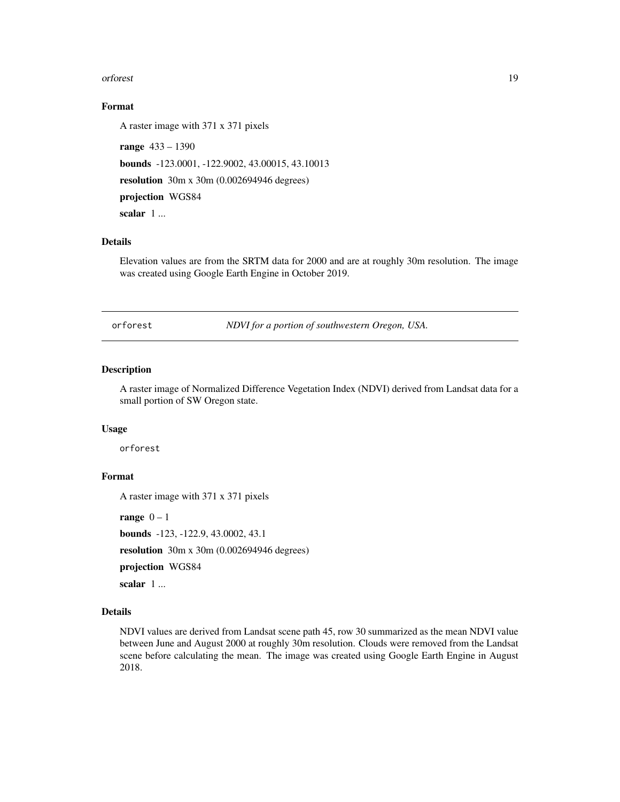#### <span id="page-18-0"></span>orforest and the contract of the contract of the contract of the contract of the contract of the contract of the contract of the contract of the contract of the contract of the contract of the contract of the contract of t

# Format

A raster image with 371 x 371 pixels

range 433 – 1390 bounds -123.0001, -122.9002, 43.00015, 43.10013 resolution 30m x 30m (0.002694946 degrees) projection WGS84 scalar 1...

# Details

Elevation values are from the SRTM data for 2000 and are at roughly 30m resolution. The image was created using Google Earth Engine in October 2019.

orforest *NDVI for a portion of southwestern Oregon, USA.*

### Description

A raster image of Normalized Difference Vegetation Index (NDVI) derived from Landsat data for a small portion of SW Oregon state.

# Usage

orforest

# Format

A raster image with 371 x 371 pixels

range  $0 - 1$ 

bounds -123, -122.9, 43.0002, 43.1

resolution 30m x 30m (0.002694946 degrees)

projection WGS84

scalar 1...

#### Details

NDVI values are derived from Landsat scene path 45, row 30 summarized as the mean NDVI value between June and August 2000 at roughly 30m resolution. Clouds were removed from the Landsat scene before calculating the mean. The image was created using Google Earth Engine in August 2018.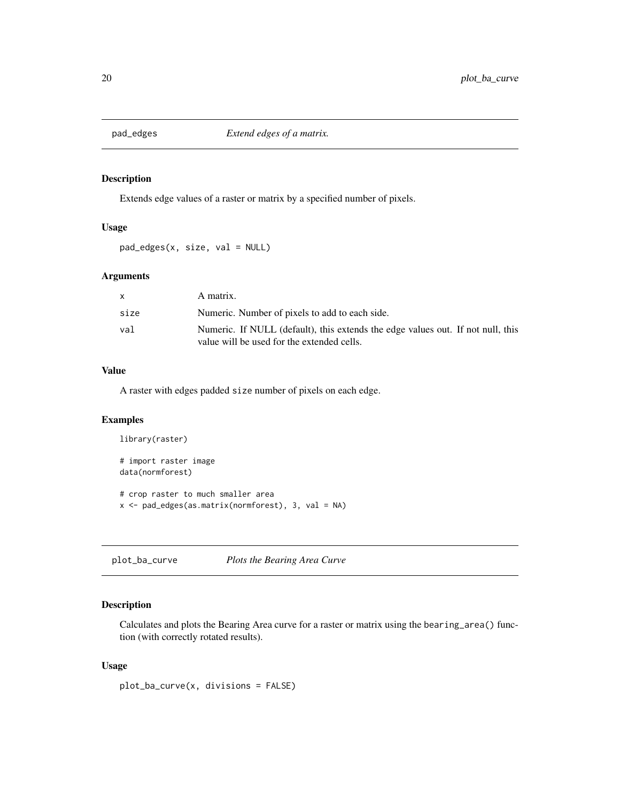<span id="page-19-0"></span>

Extends edge values of a raster or matrix by a specified number of pixels.

# Usage

pad\_edges(x, size, val = NULL)

# Arguments

| X.   | A matrix.                                                                                                                     |
|------|-------------------------------------------------------------------------------------------------------------------------------|
| size | Numeric. Number of pixels to add to each side.                                                                                |
| val  | Numeric. If NULL (default), this extends the edge values out. If not null, this<br>value will be used for the extended cells. |

# Value

A raster with edges padded size number of pixels on each edge.

### Examples

```
library(raster)
# import raster image
data(normforest)
# crop raster to much smaller area
x <- pad_edges(as.matrix(normforest), 3, val = NA)
```
plot\_ba\_curve *Plots the Bearing Area Curve*

# Description

Calculates and plots the Bearing Area curve for a raster or matrix using the bearing\_area() function (with correctly rotated results).

#### Usage

plot\_ba\_curve(x, divisions = FALSE)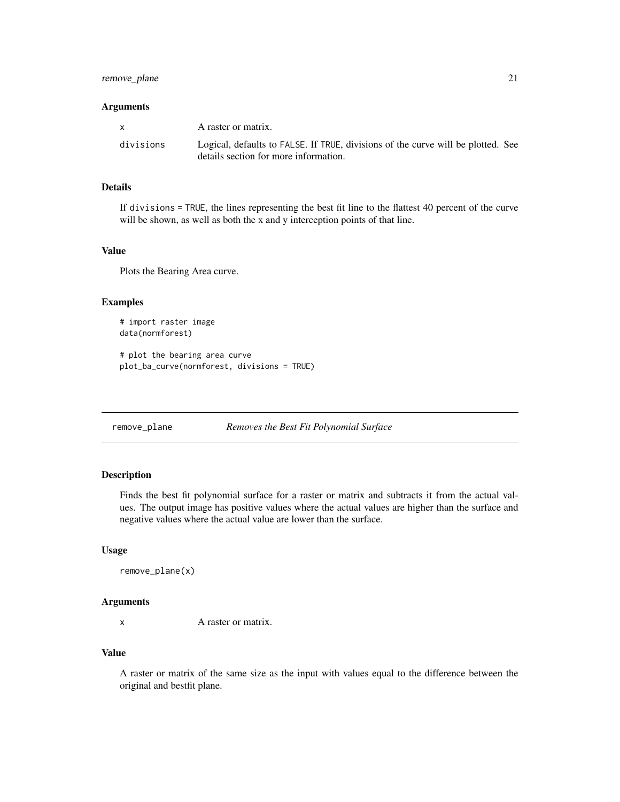# <span id="page-20-0"></span>remove\_plane 21

#### **Arguments**

| $\mathsf{x}$ | A raster or matrix.                                                                                                       |
|--------------|---------------------------------------------------------------------------------------------------------------------------|
| divisions    | Logical, defaults to FALSE. If TRUE, divisions of the curve will be plotted. See<br>details section for more information. |

#### Details

If divisions = TRUE, the lines representing the best fit line to the flattest 40 percent of the curve will be shown, as well as both the x and y interception points of that line.

#### Value

Plots the Bearing Area curve.

#### Examples

```
# import raster image
data(normforest)
```

```
# plot the bearing area curve
plot_ba_curve(normforest, divisions = TRUE)
```

```
remove_plane Removes the Best Fit Polynomial Surface
```
#### Description

Finds the best fit polynomial surface for a raster or matrix and subtracts it from the actual values. The output image has positive values where the actual values are higher than the surface and negative values where the actual value are lower than the surface.

#### Usage

```
remove_plane(x)
```
# Arguments

x A raster or matrix.

# Value

A raster or matrix of the same size as the input with values equal to the difference between the original and bestfit plane.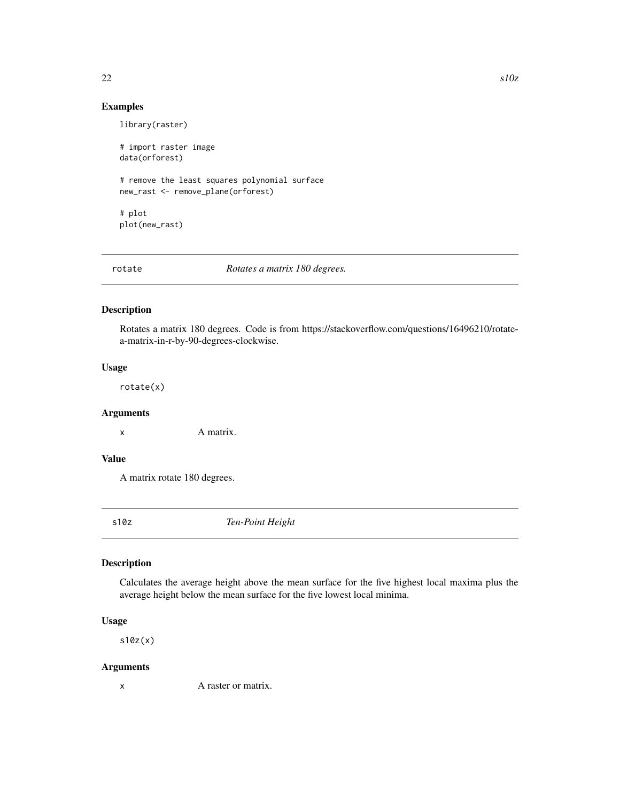# Examples

```
library(raster)
# import raster image
data(orforest)
# remove the least squares polynomial surface
new_rast <- remove_plane(orforest)
# plot
plot(new_rast)
```
# rotate *Rotates a matrix 180 degrees.*

# Description

Rotates a matrix 180 degrees. Code is from https://stackoverflow.com/questions/16496210/rotatea-matrix-in-r-by-90-degrees-clockwise.

# Usage

rotate(x)

# Arguments

x A matrix.

# Value

A matrix rotate 180 degrees.

s10z *Ten-Point Height*

# Description

Calculates the average height above the mean surface for the five highest local maxima plus the average height below the mean surface for the five lowest local minima.

#### Usage

s10z(x)

#### Arguments

x A raster or matrix.

<span id="page-21-0"></span>22 s10z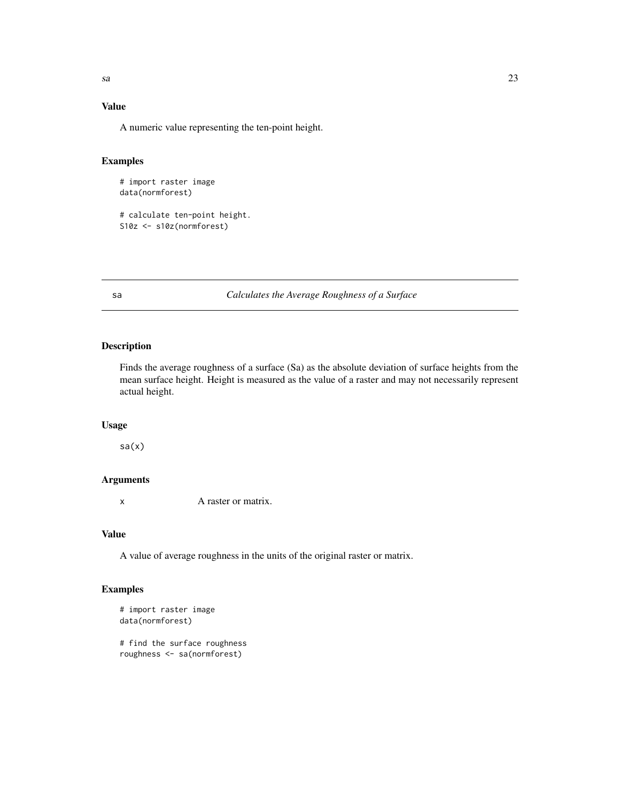# <span id="page-22-0"></span>Value

A numeric value representing the ten-point height.

# Examples

```
# import raster image
data(normforest)
```
# calculate ten-point height. S10z <- s10z(normforest)

# sa *Calculates the Average Roughness of a Surface*

# Description

Finds the average roughness of a surface (Sa) as the absolute deviation of surface heights from the mean surface height. Height is measured as the value of a raster and may not necessarily represent actual height.

#### Usage

sa(x)

# Arguments

x A raster or matrix.

#### Value

A value of average roughness in the units of the original raster or matrix.

```
# import raster image
data(normforest)
# find the surface roughness
roughness <- sa(normforest)
```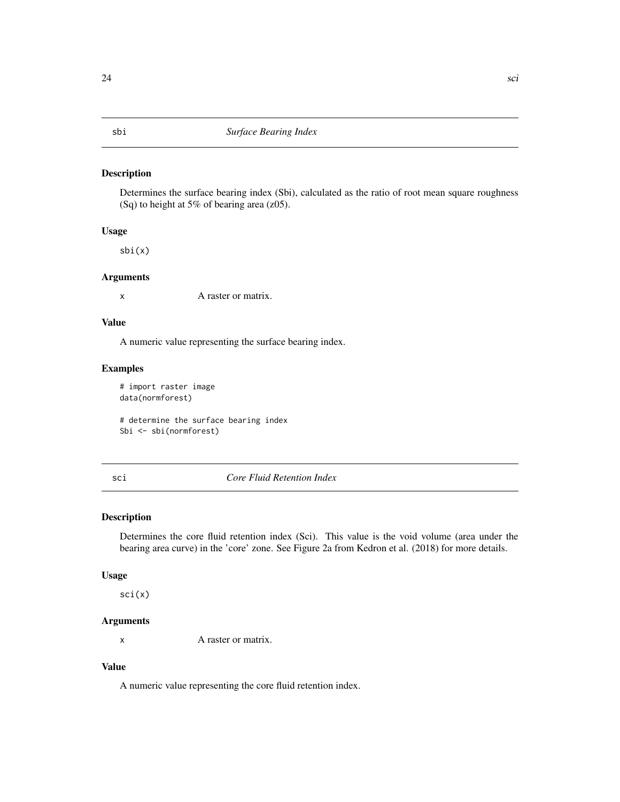<span id="page-23-0"></span>Determines the surface bearing index (Sbi), calculated as the ratio of root mean square roughness (Sq) to height at 5% of bearing area (z05).

#### Usage

sbi(x)

#### Arguments

x A raster or matrix.

# Value

A numeric value representing the surface bearing index.

### Examples

# import raster image data(normforest)

# determine the surface bearing index Sbi <- sbi(normforest)

#### sci *Core Fluid Retention Index*

# Description

Determines the core fluid retention index (Sci). This value is the void volume (area under the bearing area curve) in the 'core' zone. See Figure 2a from Kedron et al. (2018) for more details.

#### Usage

sci(x)

# Arguments

x A raster or matrix.

# Value

A numeric value representing the core fluid retention index.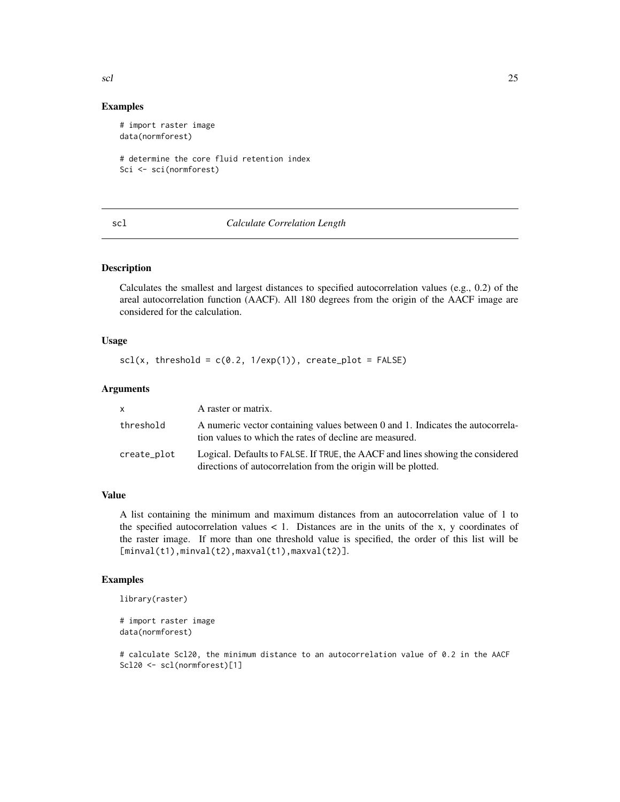#### Examples

```
# import raster image
data(normforest)
# determine the core fluid retention index
```

```
Sci <- sci(normforest)
```
# scl *Calculate Correlation Length*

# Description

Calculates the smallest and largest distances to specified autocorrelation values (e.g., 0.2) of the areal autocorrelation function (AACF). All 180 degrees from the origin of the AACF image are considered for the calculation.

# Usage

```
scl(x, threshold = c(0.2, 1/exp(1)), create\_plot = FALSE)
```
#### Arguments

| <b>X</b>    | A raster or matrix.                                                                                                                              |
|-------------|--------------------------------------------------------------------------------------------------------------------------------------------------|
| threshold   | A numeric vector containing values between 0 and 1. Indicates the autocorrela-<br>tion values to which the rates of decline are measured.        |
| create_plot | Logical. Defaults to FALSE. If TRUE, the AACF and lines showing the considered<br>directions of autocorrelation from the origin will be plotted. |

# Value

A list containing the minimum and maximum distances from an autocorrelation value of 1 to the specified autocorrelation values  $\lt 1$ . Distances are in the units of the x, y coordinates of the raster image. If more than one threshold value is specified, the order of this list will be [minval(t1),minval(t2),maxval(t1),maxval(t2)].

#### Examples

```
library(raster)
```

```
# import raster image
data(normforest)
```
# calculate Scl20, the minimum distance to an autocorrelation value of 0.2 in the AACF Scl20 <- scl(normforest)[1]

<span id="page-24-0"></span>scl 25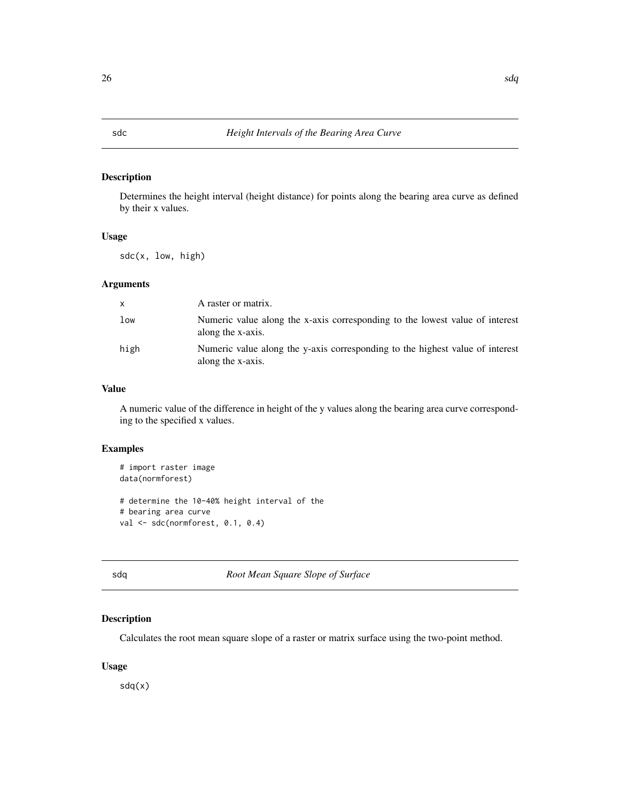<span id="page-25-0"></span>Determines the height interval (height distance) for points along the bearing area curve as defined by their x values.

#### Usage

sdc(x, low, high)

# Arguments

| X    | A raster or matrix.                                                                                |
|------|----------------------------------------------------------------------------------------------------|
| low  | Numeric value along the x-axis corresponding to the lowest value of interest<br>along the x-axis.  |
| high | Numeric value along the y-axis corresponding to the highest value of interest<br>along the x-axis. |

# Value

A numeric value of the difference in height of the y values along the bearing area curve corresponding to the specified x values.

#### Examples

```
# import raster image
data(normforest)
# determine the 10-40% height interval of the
# bearing area curve
val <- sdc(normforest, 0.1, 0.4)
```
sdq *Root Mean Square Slope of Surface*

# Description

Calculates the root mean square slope of a raster or matrix surface using the two-point method.

# Usage

sdq(x)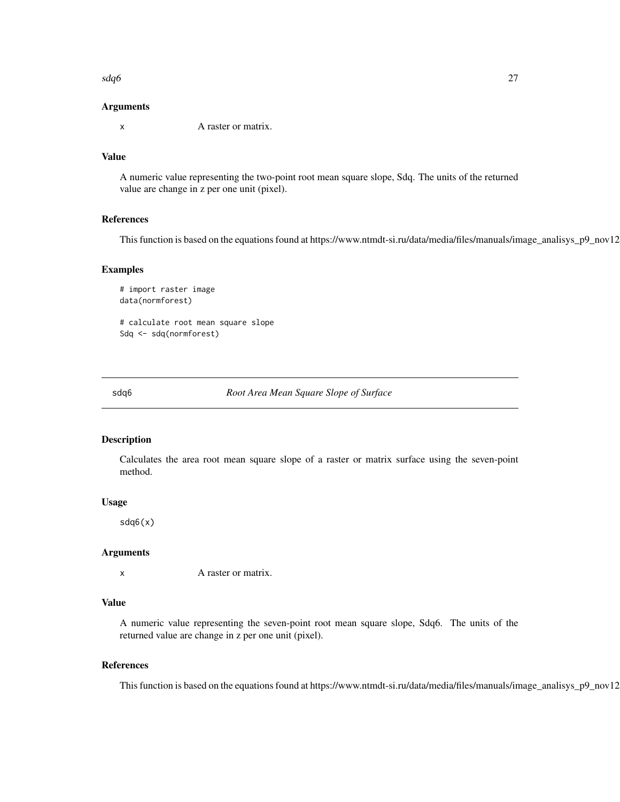<span id="page-26-0"></span> $sdq6$   $27$ 

#### Arguments

x A raster or matrix.

# Value

A numeric value representing the two-point root mean square slope, Sdq. The units of the returned value are change in z per one unit (pixel).

#### References

This function is based on the equations found at https://www.ntmdt-si.ru/data/media/files/manuals/image\_analisys\_p9\_nov12

#### Examples

# import raster image data(normforest)

# calculate root mean square slope Sdq <- sdq(normforest)

sdq6 *Root Area Mean Square Slope of Surface*

# Description

Calculates the area root mean square slope of a raster or matrix surface using the seven-point method.

#### Usage

sdq6(x)

#### Arguments

x A raster or matrix.

#### Value

A numeric value representing the seven-point root mean square slope, Sdq6. The units of the returned value are change in z per one unit (pixel).

#### References

This function is based on the equations found at https://www.ntmdt-si.ru/data/media/files/manuals/image\_analisys\_p9\_nov12.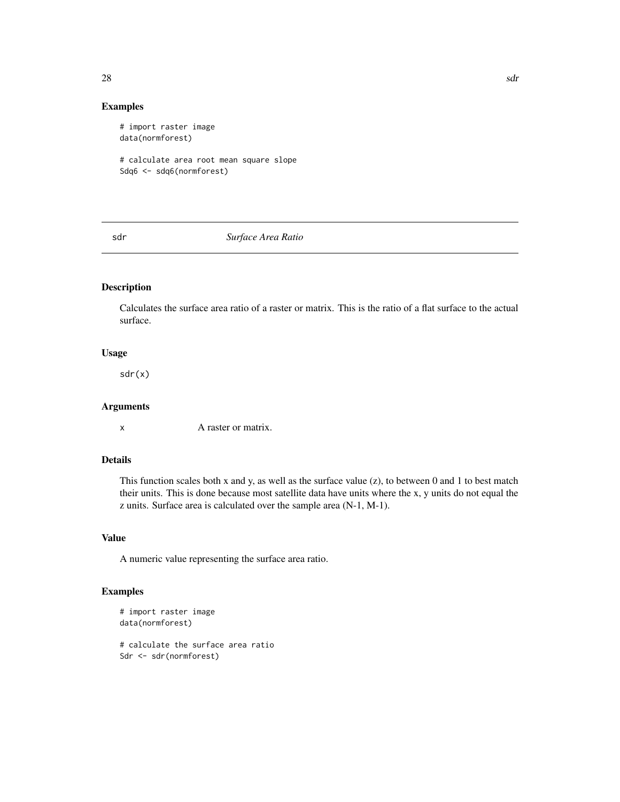# Examples

```
# import raster image
data(normforest)
# calculate area root mean square slope
Sdq6 <- sdq6(normforest)
```
sdr *Surface Area Ratio*

# Description

Calculates the surface area ratio of a raster or matrix. This is the ratio of a flat surface to the actual surface.

#### Usage

sdr(x)

### Arguments

x A raster or matrix.

#### Details

This function scales both x and y, as well as the surface value  $(z)$ , to between 0 and 1 to best match their units. This is done because most satellite data have units where the x, y units do not equal the z units. Surface area is calculated over the sample area (N-1, M-1).

# Value

A numeric value representing the surface area ratio.

```
# import raster image
data(normforest)
# calculate the surface area ratio
Sdr <- sdr(normforest)
```
<span id="page-27-0"></span>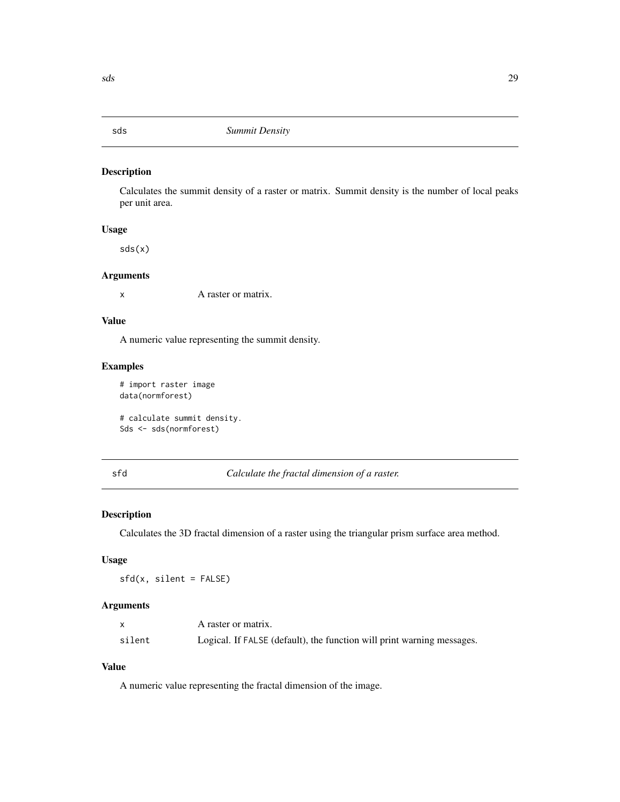<span id="page-28-0"></span>Calculates the summit density of a raster or matrix. Summit density is the number of local peaks per unit area.

#### Usage

sds(x)

#### Arguments

x A raster or matrix.

#### Value

A numeric value representing the summit density.

# Examples

```
# import raster image
data(normforest)
```
# calculate summit density. Sds <- sds(normforest)

# sfd *Calculate the fractal dimension of a raster.*

# Description

Calculates the 3D fractal dimension of a raster using the triangular prism surface area method.

# Usage

sfd(x, silent = FALSE)

# Arguments

|        | A raster or matrix.                                                    |
|--------|------------------------------------------------------------------------|
| silent | Logical. If FALSE (default), the function will print warning messages. |

# Value

A numeric value representing the fractal dimension of the image.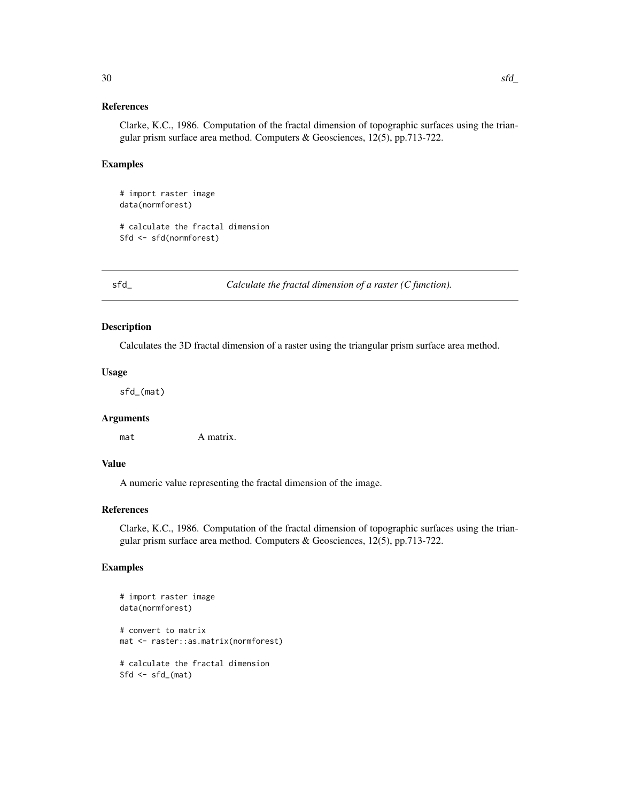#### <span id="page-29-0"></span>References

Clarke, K.C., 1986. Computation of the fractal dimension of topographic surfaces using the triangular prism surface area method. Computers & Geosciences, 12(5), pp.713-722.

#### Examples

```
# import raster image
data(normforest)
# calculate the fractal dimension
Sfd <- sfd(normforest)
```
sfd\_ *Calculate the fractal dimension of a raster (C function).*

#### Description

Calculates the 3D fractal dimension of a raster using the triangular prism surface area method.

# Usage

sfd\_(mat)

### Arguments

mat A matrix.

# Value

A numeric value representing the fractal dimension of the image.

#### References

Clarke, K.C., 1986. Computation of the fractal dimension of topographic surfaces using the triangular prism surface area method. Computers & Geosciences, 12(5), pp.713-722.

```
# import raster image
data(normforest)
# convert to matrix
mat <- raster::as.matrix(normforest)
# calculate the fractal dimension
Sfd \leftarrow sfd_{max}(mat)
```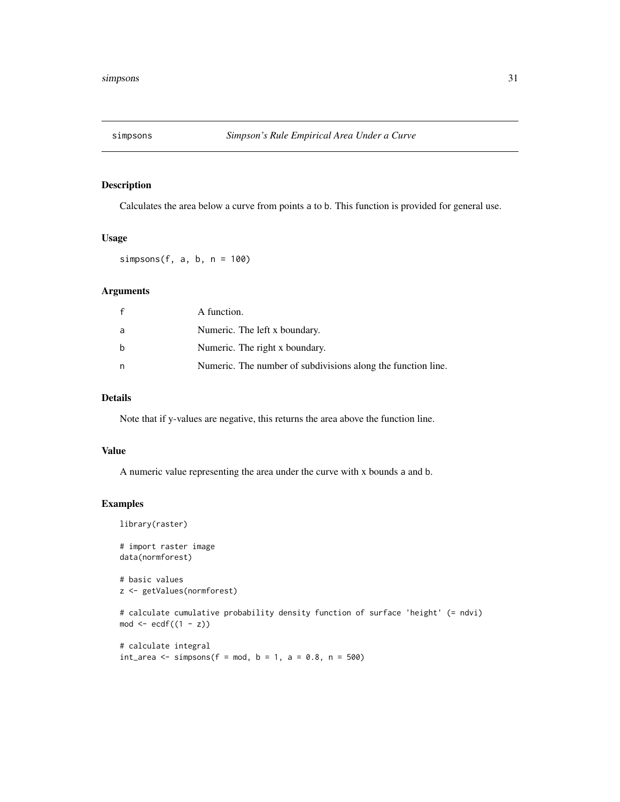<span id="page-30-0"></span>

Calculates the area below a curve from points a to b. This function is provided for general use.

#### Usage

simpsons(f, a, b,  $n = 100$ )

# Arguments

| $\mathbf{f}$ | A function.                                                  |
|--------------|--------------------------------------------------------------|
| a            | Numeric. The left x boundary.                                |
| b            | Numeric. The right x boundary.                               |
| n            | Numeric. The number of subdivisions along the function line. |

#### Details

Note that if y-values are negative, this returns the area above the function line.

# Value

A numeric value representing the area under the curve with x bounds a and b.

```
library(raster)
# import raster image
data(normforest)
# basic values
z <- getValues(normforest)
# calculate cumulative probability density function of surface 'height' (= ndvi)
mod \leftarrow \text{ecd}((1 - z))# calculate integral
```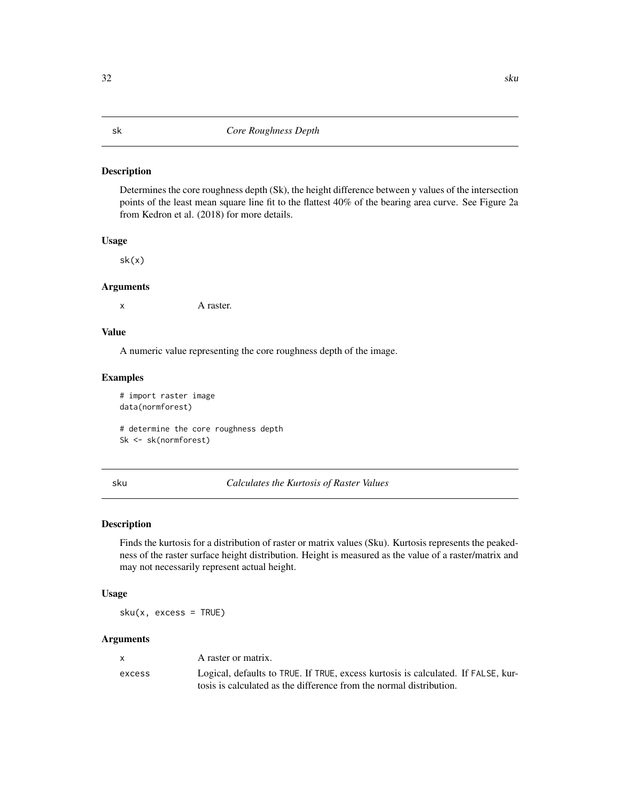<span id="page-31-0"></span>Determines the core roughness depth (Sk), the height difference between y values of the intersection points of the least mean square line fit to the flattest 40% of the bearing area curve. See Figure 2a from Kedron et al. (2018) for more details.

#### Usage

sk(x)

#### Arguments

x A raster.

### Value

A numeric value representing the core roughness depth of the image.

#### Examples

# import raster image data(normforest)

# determine the core roughness depth Sk <- sk(normforest)

sku *Calculates the Kurtosis of Raster Values*

# Description

Finds the kurtosis for a distribution of raster or matrix values (Sku). Kurtosis represents the peakedness of the raster surface height distribution. Height is measured as the value of a raster/matrix and may not necessarily represent actual height.

#### Usage

sku(x, excess = TRUE)

#### Arguments

| $\mathbf{x}$ | A raster or matrix.                                                                                                                                      |
|--------------|----------------------------------------------------------------------------------------------------------------------------------------------------------|
| excess       | Logical, defaults to TRUE. If TRUE, excess kurtosis is calculated. If FALSE, kur-<br>tosis is calculated as the difference from the normal distribution. |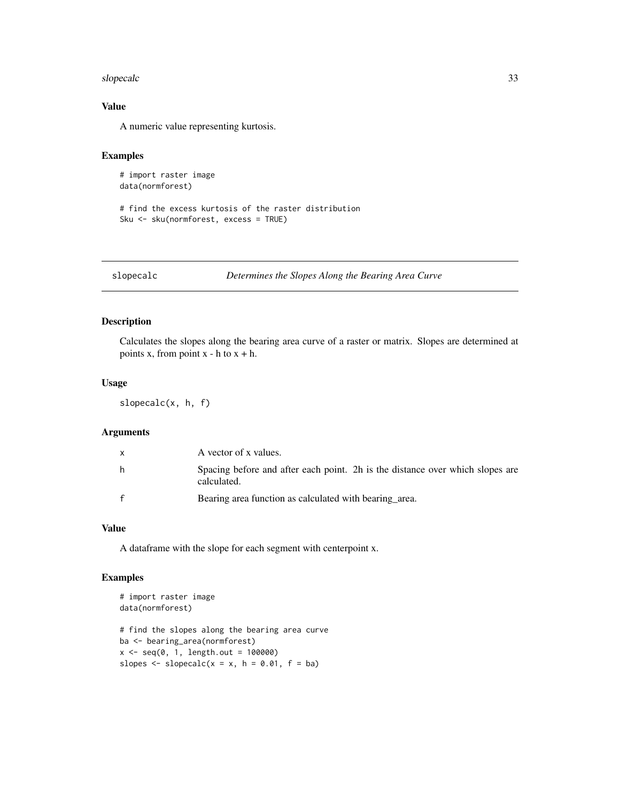#### <span id="page-32-0"></span>slopecalc 33

# Value

A numeric value representing kurtosis.

# Examples

```
# import raster image
data(normforest)
```
# find the excess kurtosis of the raster distribution Sku <- sku(normforest, excess = TRUE)

#### slopecalc *Determines the Slopes Along the Bearing Area Curve*

# Description

Calculates the slopes along the bearing area curve of a raster or matrix. Slopes are determined at points x, from point  $x - h$  to  $x + h$ .

# Usage

slopecalc(x, h, f)

#### Arguments

|              | A vector of x values.                                                                        |
|--------------|----------------------------------------------------------------------------------------------|
| h.           | Spacing before and after each point. 2h is the distance over which slopes are<br>calculated. |
| $\mathbf{f}$ | Bearing area function as calculated with bearing area.                                       |

#### Value

A dataframe with the slope for each segment with centerpoint x.

```
# import raster image
data(normforest)
# find the slopes along the bearing area curve
ba <- bearing_area(normforest)
x \leq -\text{seq}(0, 1, \text{length.out} = 100000)slopes \leq slopecalc(x = x, h = 0.01, f = ba)
```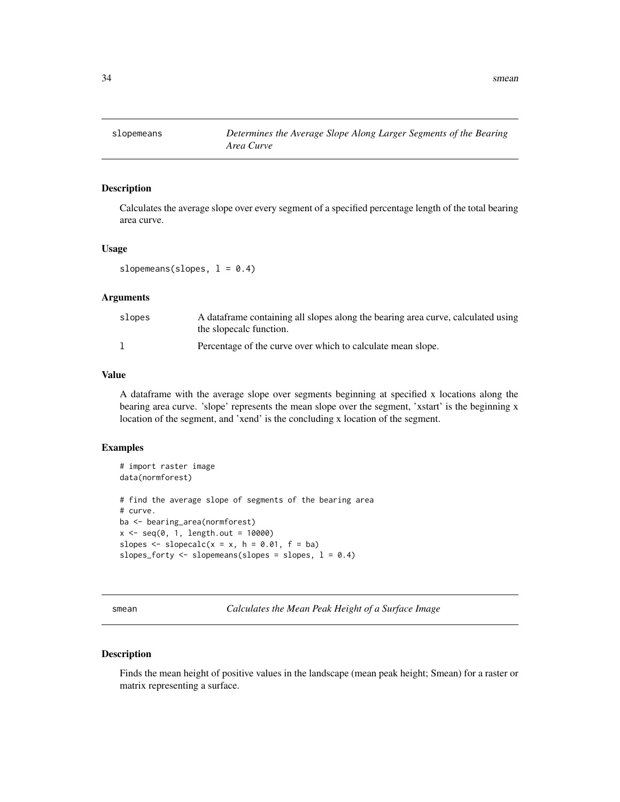<span id="page-33-0"></span>

Calculates the average slope over every segment of a specified percentage length of the total bearing area curve.

#### Usage

slopemeans(slopes,  $l = 0.4$ )

# Arguments

| slopes | A dataframe containing all slopes along the bearing area curve, calculated using<br>the slopecalc function. |
|--------|-------------------------------------------------------------------------------------------------------------|
|        | Percentage of the curve over which to calculate mean slope.                                                 |

# Value

A dataframe with the average slope over segments beginning at specified x locations along the bearing area curve. 'slope' represents the mean slope over the segment, 'xstart' is the beginning x location of the segment, and 'xend' is the concluding x location of the segment.

#### Examples

```
# import raster image
data(normforest)
# find the average slope of segments of the bearing area
# curve.
ba <- bearing_area(normforest)
x < - seq(0, 1, length.out = 10000)
slopes \leq slopecalc(x = x, h = 0.01, f = ba)
slopes_forty <- slopemeans(slopes = slopes, l = 0.4)
```
smean *Calculates the Mean Peak Height of a Surface Image*

#### Description

Finds the mean height of positive values in the landscape (mean peak height; Smean) for a raster or matrix representing a surface.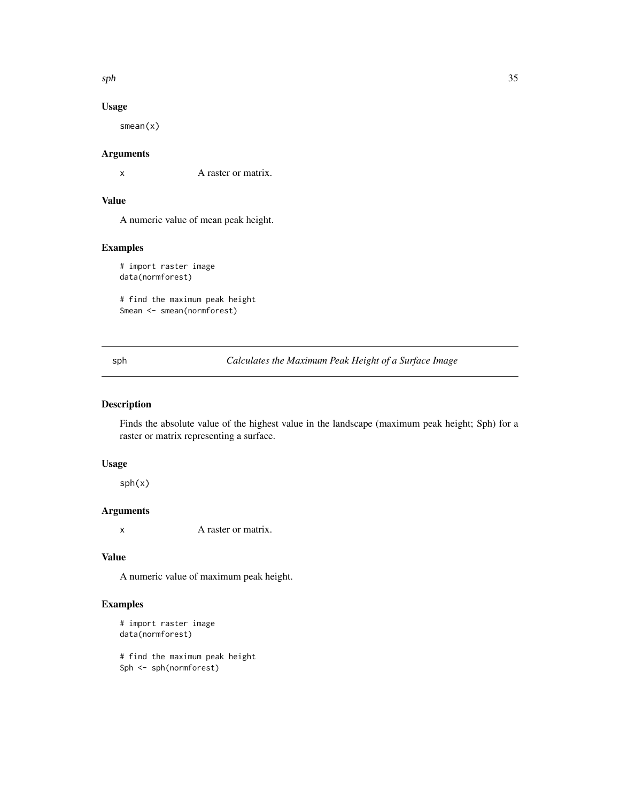<span id="page-34-0"></span> $sph$  35

# Usage

smean(x)

# Arguments

x A raster or matrix.

# Value

A numeric value of mean peak height.

# Examples

# import raster image data(normforest)

# find the maximum peak height Smean <- smean(normforest)

sph *Calculates the Maximum Peak Height of a Surface Image*

# Description

Finds the absolute value of the highest value in the landscape (maximum peak height; Sph) for a raster or matrix representing a surface.

# Usage

sph(x)

# Arguments

x A raster or matrix.

# Value

A numeric value of maximum peak height.

# Examples

```
# import raster image
data(normforest)
```
# find the maximum peak height Sph <- sph(normforest)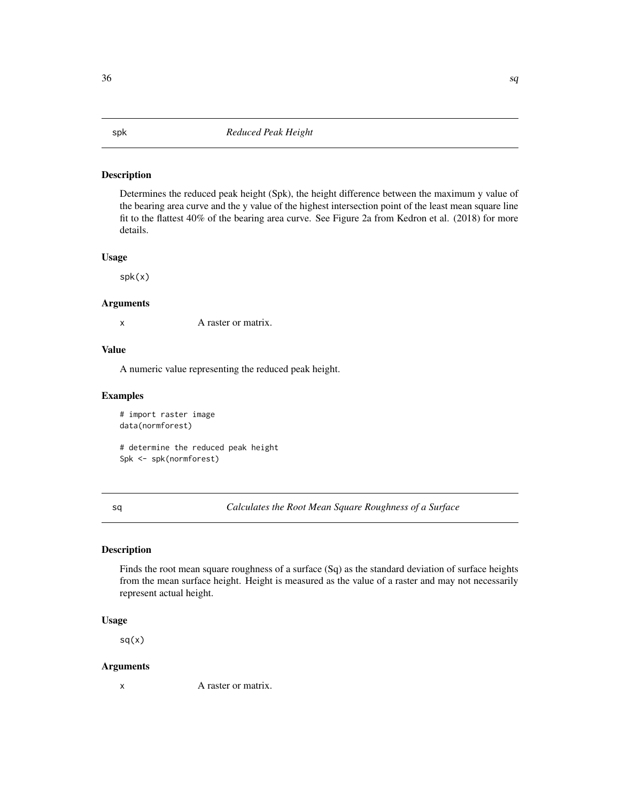Determines the reduced peak height (Spk), the height difference between the maximum y value of the bearing area curve and the y value of the highest intersection point of the least mean square line fit to the flattest 40% of the bearing area curve. See Figure 2a from Kedron et al. (2018) for more details.

## Usage

spk(x)

#### Arguments

x A raster or matrix.

#### Value

A numeric value representing the reduced peak height.

# Examples

```
# import raster image
data(normforest)
```
# determine the reduced peak height Spk <- spk(normforest)

sq *Calculates the Root Mean Square Roughness of a Surface*

#### Description

Finds the root mean square roughness of a surface (Sq) as the standard deviation of surface heights from the mean surface height. Height is measured as the value of a raster and may not necessarily represent actual height.

#### Usage

sq(x)

#### Arguments

x A raster or matrix.

<span id="page-35-0"></span> $36$  sq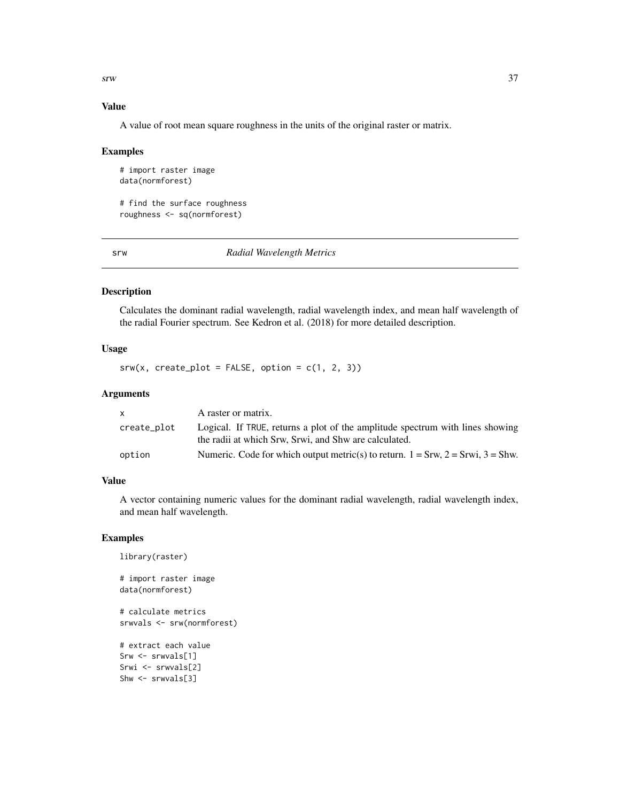<span id="page-36-0"></span> $s<sub>rw</sub>$  37

# Value

A value of root mean square roughness in the units of the original raster or matrix.

#### Examples

```
# import raster image
data(normforest)
```
# find the surface roughness roughness <- sq(normforest)

srw *Radial Wavelength Metrics*

#### Description

Calculates the dominant radial wavelength, radial wavelength index, and mean half wavelength of the radial Fourier spectrum. See Kedron et al. (2018) for more detailed description.

### Usage

 $srw(x, create\_plot = FALSE, option = c(1, 2, 3))$ 

#### Arguments

| x.          | A raster or matrix.                                                                                                                    |
|-------------|----------------------------------------------------------------------------------------------------------------------------------------|
| create_plot | Logical. If TRUE, returns a plot of the amplitude spectrum with lines showing<br>the radii at which Srw, Srwi, and Shw are calculated. |
| option      | Numeric. Code for which output metric(s) to return. $1 = Srw$ , $2 = Srw$ , $3 = Shw$ .                                                |

# Value

A vector containing numeric values for the dominant radial wavelength, radial wavelength index, and mean half wavelength.

```
library(raster)
# import raster image
data(normforest)
# calculate metrics
srwvals <- srw(normforest)
# extract each value
Srw <- srwvals[1]
Srwi <- srwvals[2]
Shw <- srwvals[3]
```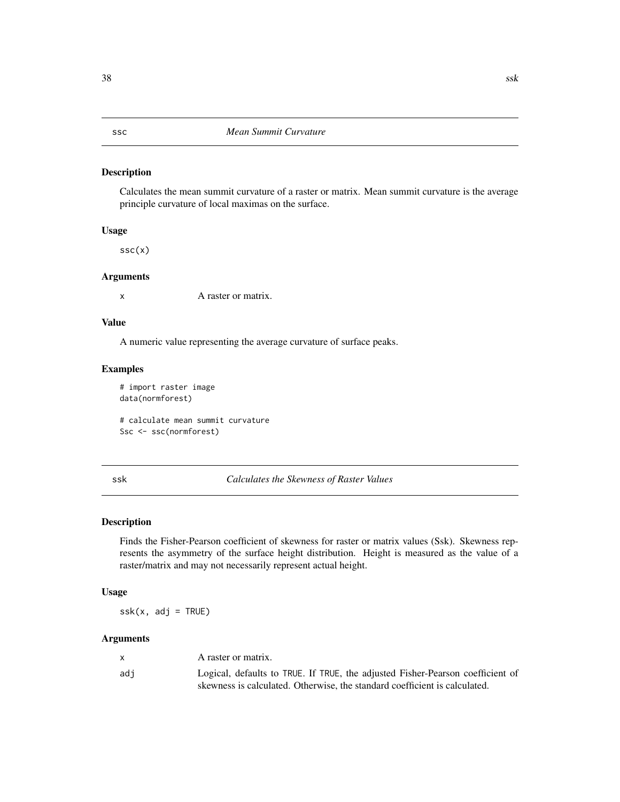<span id="page-37-0"></span>ssc *Mean Summit Curvature*

#### Description

Calculates the mean summit curvature of a raster or matrix. Mean summit curvature is the average principle curvature of local maximas on the surface.

#### Usage

ssc(x)

#### Arguments

x A raster or matrix.

# Value

A numeric value representing the average curvature of surface peaks.

#### Examples

# import raster image data(normforest)

# calculate mean summit curvature Ssc <- ssc(normforest)

#### ssk *Calculates the Skewness of Raster Values*

# Description

Finds the Fisher-Pearson coefficient of skewness for raster or matrix values (Ssk). Skewness represents the asymmetry of the surface height distribution. Height is measured as the value of a raster/matrix and may not necessarily represent actual height.

#### Usage

 $s$ sk $(x, adj = TRUE)$ 

#### Arguments

|     | A raster or matrix.                                                            |
|-----|--------------------------------------------------------------------------------|
| adi | Logical, defaults to TRUE. If TRUE, the adjusted Fisher-Pearson coefficient of |
|     | skewness is calculated. Otherwise, the standard coefficient is calculated.     |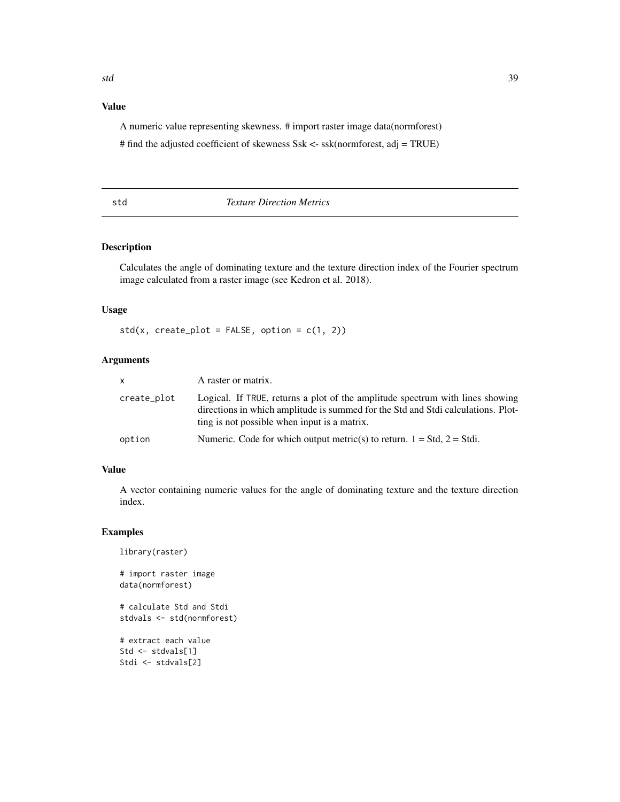# <span id="page-38-0"></span>Value

A numeric value representing skewness. # import raster image data(normforest)

# find the adjusted coefficient of skewness Ssk <- ssk(normforest, adj = TRUE)

# std *Texture Direction Metrics*

# Description

Calculates the angle of dominating texture and the texture direction index of the Fourier spectrum image calculated from a raster image (see Kedron et al. 2018).

# Usage

 $std(x, create\_plot = FALSE, option = c(1, 2))$ 

#### Arguments

| <b>X</b>    | A raster or matrix.                                                                                                                                                                                               |
|-------------|-------------------------------------------------------------------------------------------------------------------------------------------------------------------------------------------------------------------|
| create_plot | Logical. If TRUE, returns a plot of the amplitude spectrum with lines showing<br>directions in which amplitude is summed for the Std and Stdi calculations. Plot-<br>ting is not possible when input is a matrix. |
| option      | Numeric. Code for which output metric(s) to return. $1 = Std$ , $2 = Stdi$ .                                                                                                                                      |

### Value

A vector containing numeric values for the angle of dominating texture and the texture direction index.

```
library(raster)
# import raster image
data(normforest)
# calculate Std and Stdi
stdvals <- std(normforest)
```

```
# extract each value
Std <- stdvals[1]
Stdi <- stdvals[2]
```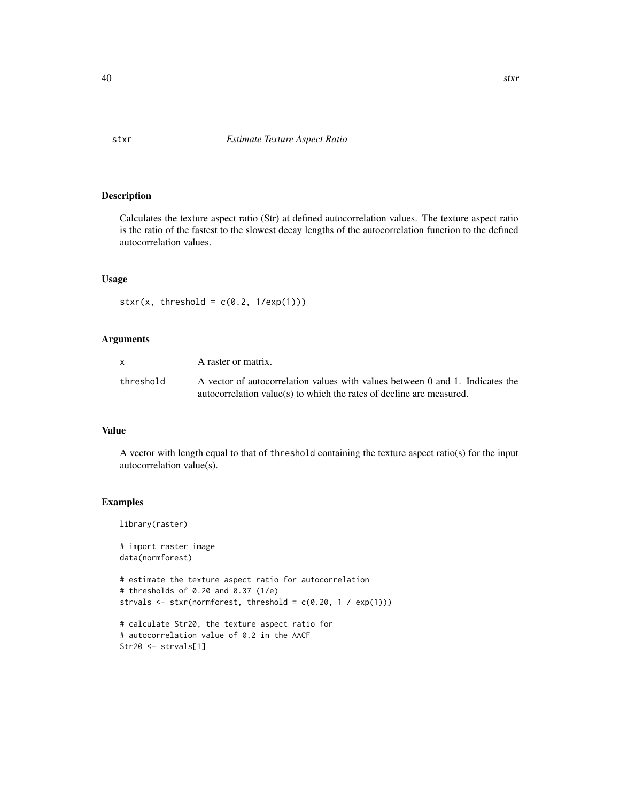<span id="page-39-0"></span>Calculates the texture aspect ratio (Str) at defined autocorrelation values. The texture aspect ratio is the ratio of the fastest to the slowest decay lengths of the autocorrelation function to the defined autocorrelation values.

# Usage

```
stxr(x, threshold = c(0.2, 1/exp(1)))
```
#### Arguments

| <b>X</b>  | A raster or matrix.                                                                                                                                     |
|-----------|---------------------------------------------------------------------------------------------------------------------------------------------------------|
| threshold | A vector of autocorrelation values with values between 0 and 1. Indicates the<br>$autocorrelation value(s)$ to which the rates of decline are measured. |

# Value

A vector with length equal to that of threshold containing the texture aspect ratio(s) for the input autocorrelation value(s).

#### Examples

library(raster)

# import raster image data(normforest)

```
# estimate the texture aspect ratio for autocorrelation
# thresholds of 0.20 and 0.37 (1/e)
strvals \leq stxr(normforest, threshold = c(0.20, 1 / exp(1)))
```

```
# calculate Str20, the texture aspect ratio for
# autocorrelation value of 0.2 in the AACF
Str20 <- strvals[1]
```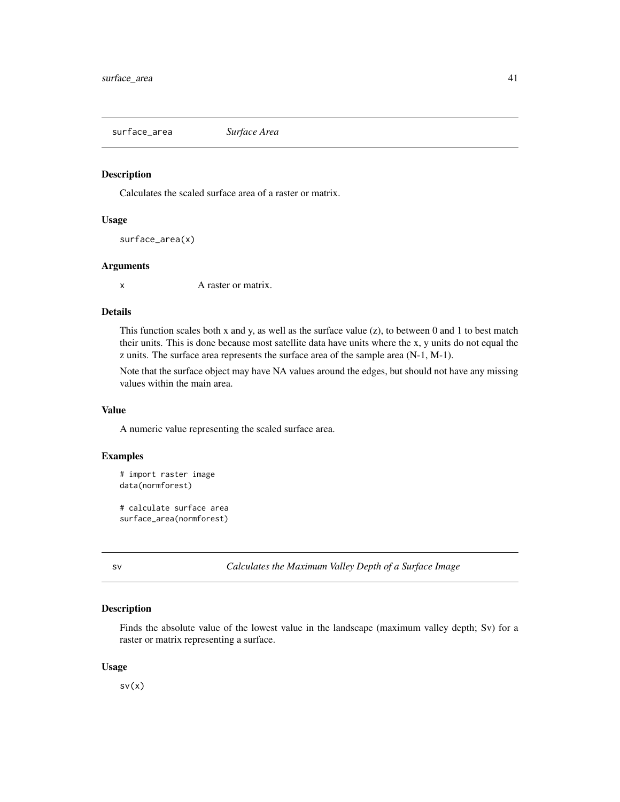<span id="page-40-0"></span>surface\_area *Surface Area*

# Description

Calculates the scaled surface area of a raster or matrix.

#### Usage

```
surface_area(x)
```
#### Arguments

x A raster or matrix.

### Details

This function scales both x and y, as well as the surface value  $(z)$ , to between 0 and 1 to best match their units. This is done because most satellite data have units where the x, y units do not equal the z units. The surface area represents the surface area of the sample area (N-1, M-1).

Note that the surface object may have NA values around the edges, but should not have any missing values within the main area.

#### Value

A numeric value representing the scaled surface area.

# Examples

```
# import raster image
data(normforest)
# calculate surface area
surface_area(normforest)
```
sv *Calculates the Maximum Valley Depth of a Surface Image*

#### Description

Finds the absolute value of the lowest value in the landscape (maximum valley depth; Sv) for a raster or matrix representing a surface.

#### Usage

 $sv(x)$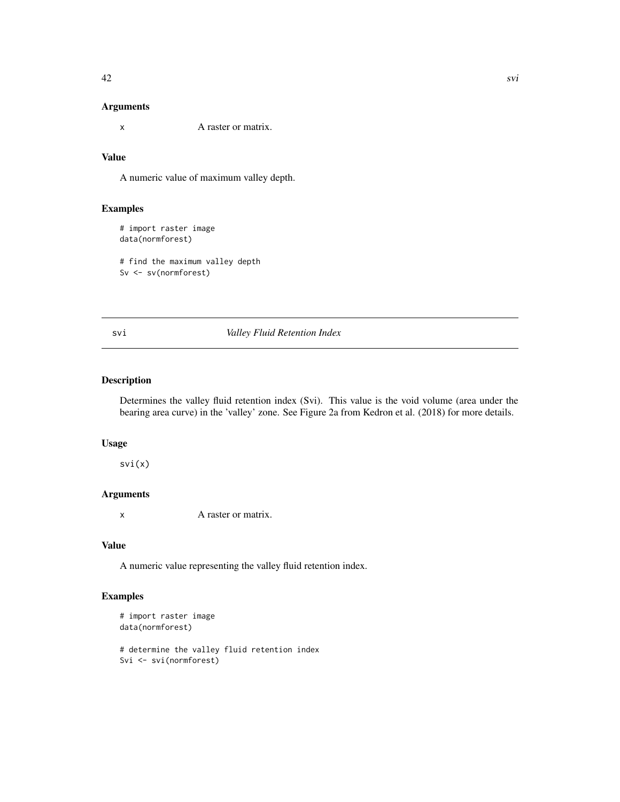### <span id="page-41-0"></span>Arguments

x A raster or matrix.

# Value

A numeric value of maximum valley depth.

# Examples

# import raster image data(normforest)

# find the maximum valley depth Sv <- sv(normforest)

svi *Valley Fluid Retention Index*

#### Description

Determines the valley fluid retention index (Svi). This value is the void volume (area under the bearing area curve) in the 'valley' zone. See Figure 2a from Kedron et al. (2018) for more details.

#### Usage

svi(x)

### Arguments

x A raster or matrix.

#### Value

A numeric value representing the valley fluid retention index.

```
# import raster image
data(normforest)
# determine the valley fluid retention index
Svi <- svi(normforest)
```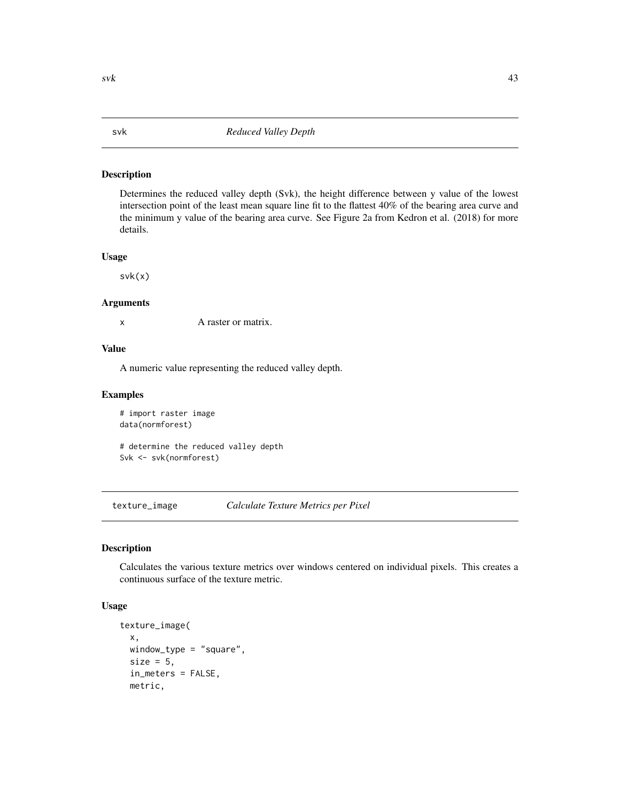Determines the reduced valley depth (Svk), the height difference between y value of the lowest intersection point of the least mean square line fit to the flattest 40% of the bearing area curve and the minimum y value of the bearing area curve. See Figure 2a from Kedron et al. (2018) for more details.

## Usage

svk(x)

#### Arguments

x A raster or matrix.

#### Value

A numeric value representing the reduced valley depth.

#### Examples

```
# import raster image
data(normforest)
```
# determine the reduced valley depth Svk <- svk(normforest)

texture\_image *Calculate Texture Metrics per Pixel*

#### Description

Calculates the various texture metrics over windows centered on individual pixels. This creates a continuous surface of the texture metric.

#### Usage

```
texture_image(
  x,
 window_type = "square",
  size = 5,
  in_meters = FALSE,
 metric,
```
<span id="page-42-0"></span> $s$ vk  $43$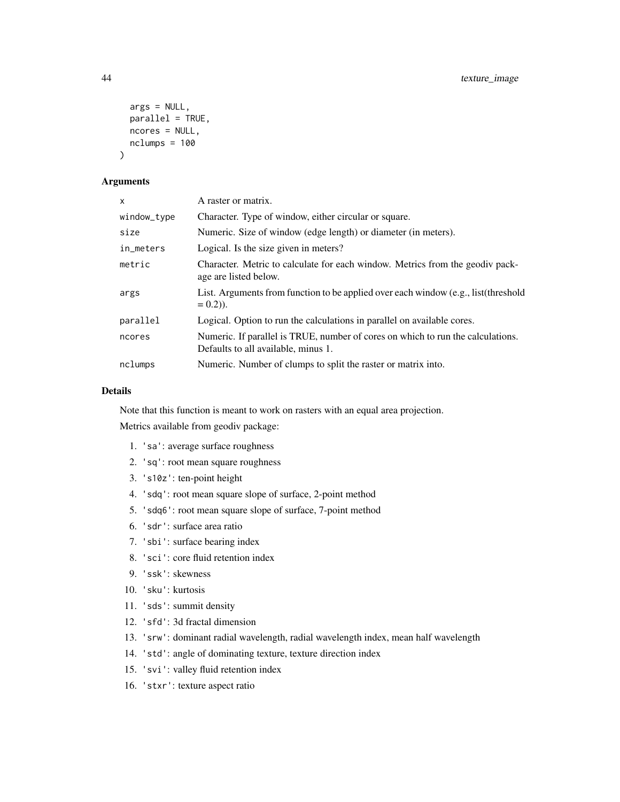```
args = NULL,
 parallel = TRUE,
 ncores = NULL,
 nclumps = 100)
```
#### Arguments

| X           | A raster or matrix.                                                                                                    |
|-------------|------------------------------------------------------------------------------------------------------------------------|
| window_type | Character. Type of window, either circular or square.                                                                  |
| size        | Numeric. Size of window (edge length) or diameter (in meters).                                                         |
| in_meters   | Logical. Is the size given in meters?                                                                                  |
| metric      | Character. Metric to calculate for each window. Metrics from the geodiv pack-<br>age are listed below.                 |
| args        | List. Arguments from function to be applied over each window (e.g., list (threshold<br>$= 0.2$ ).                      |
| parallel    | Logical. Option to run the calculations in parallel on available cores.                                                |
| ncores      | Numeric. If parallel is TRUE, number of cores on which to run the calculations.<br>Defaults to all available, minus 1. |
| nclumps     | Numeric. Number of clumps to split the raster or matrix into.                                                          |

# Details

Note that this function is meant to work on rasters with an equal area projection.

Metrics available from geodiv package:

- 1. 'sa': average surface roughness
- 2. 'sq': root mean square roughness
- 3. 's10z': ten-point height
- 4. 'sdq': root mean square slope of surface, 2-point method
- 5. 'sdq6': root mean square slope of surface, 7-point method
- 6. 'sdr': surface area ratio
- 7. 'sbi': surface bearing index
- 8. 'sci': core fluid retention index
- 9. 'ssk': skewness
- 10. 'sku': kurtosis
- 11. 'sds': summit density
- 12. 'sfd': 3d fractal dimension
- 13. 'srw': dominant radial wavelength, radial wavelength index, mean half wavelength
- 14. 'std': angle of dominating texture, texture direction index
- 15. 'svi': valley fluid retention index
- 16. 'stxr': texture aspect ratio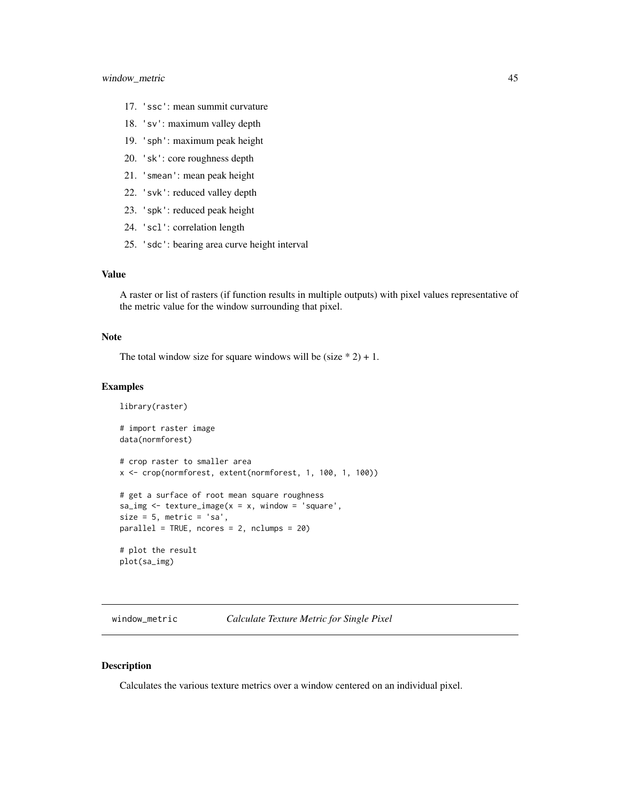- <span id="page-44-0"></span>17. 'ssc': mean summit curvature
- 18. 'sv': maximum valley depth
- 19. 'sph': maximum peak height
- 20. 'sk': core roughness depth
- 21. 'smean': mean peak height
- 22. 'svk': reduced valley depth
- 23. 'spk': reduced peak height
- 24. 'scl': correlation length
- 25. 'sdc': bearing area curve height interval

# Value

A raster or list of rasters (if function results in multiple outputs) with pixel values representative of the metric value for the window surrounding that pixel.

#### Note

The total window size for square windows will be (size  $* 2$ ) + 1.

#### Examples

```
library(raster)
# import raster image
data(normforest)
# crop raster to smaller area
x <- crop(normforest, extent(normforest, 1, 100, 1, 100))
# get a surface of root mean square roughness
sa\_img \leftarrow texture\_image(x = x, window = 'square',size = 5, metric = 'sa',
parallel = TRUE, ncores = 2, nclumps = 20)
# plot the result
plot(sa_img)
```
window\_metric *Calculate Texture Metric for Single Pixel*

#### Description

Calculates the various texture metrics over a window centered on an individual pixel.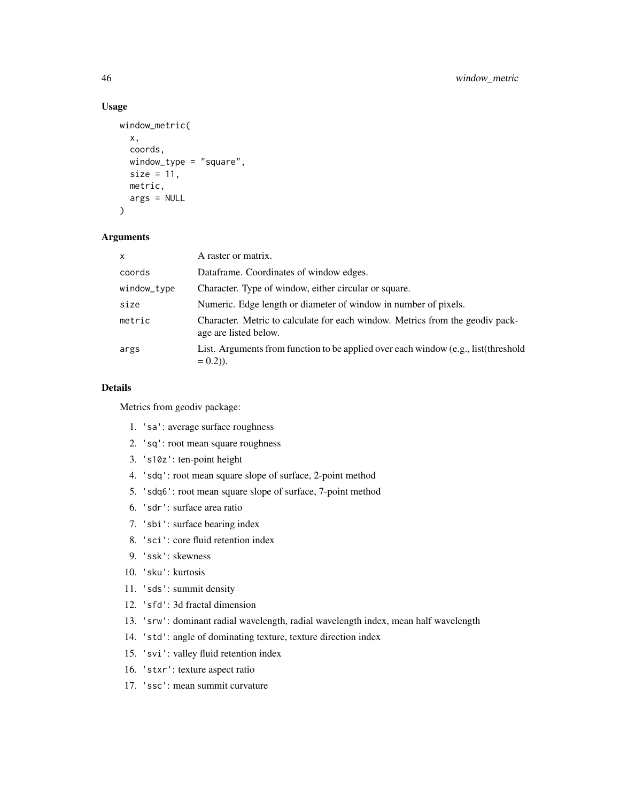# Usage

```
window_metric(
  x,
  coords,
  window_type = "square",
  size = 11,
  metric,
  args = NULL
\mathcal{L}
```
#### Arguments

| $\mathsf{x}$ | A raster or matrix.                                                                                    |
|--------------|--------------------------------------------------------------------------------------------------------|
| coords       | Dataframe. Coordinates of window edges.                                                                |
| window_type  | Character. Type of window, either circular or square.                                                  |
| size         | Numeric. Edge length or diameter of window in number of pixels.                                        |
| metric       | Character. Metric to calculate for each window. Metrics from the geodiv pack-<br>age are listed below. |
| args         | List. Arguments from function to be applied over each window (e.g., list (threshold<br>$= 0.2$ ).      |

#### Details

Metrics from geodiv package:

- 1. 'sa': average surface roughness
- 2. 'sq': root mean square roughness
- 3. 's10z': ten-point height
- 4. 'sdq': root mean square slope of surface, 2-point method
- 5. 'sdq6': root mean square slope of surface, 7-point method
- 6. 'sdr': surface area ratio
- 7. 'sbi': surface bearing index
- 8. 'sci': core fluid retention index
- 9. 'ssk': skewness
- 10. 'sku': kurtosis
- 11. 'sds': summit density
- 12. 'sfd': 3d fractal dimension
- 13. 'srw': dominant radial wavelength, radial wavelength index, mean half wavelength
- 14. 'std': angle of dominating texture, texture direction index
- 15. 'svi': valley fluid retention index
- 16. 'stxr': texture aspect ratio
- 17. 'ssc': mean summit curvature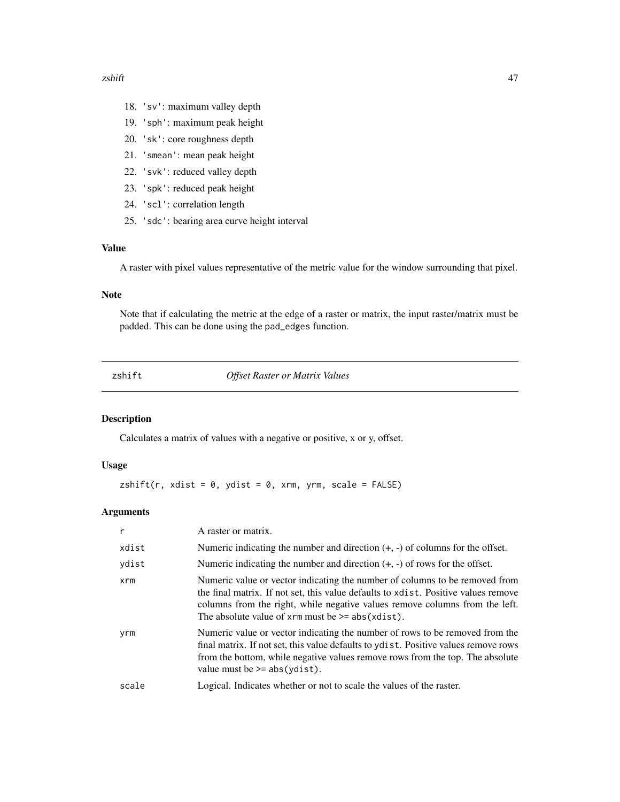#### <span id="page-46-0"></span>zshift and the state of the state of the state of the state of the state of the state of the state of the state of the state of the state of the state of the state of the state of the state of the state of the state of the

- 18. 'sv': maximum valley depth
- 19. 'sph': maximum peak height
- 20. 'sk': core roughness depth
- 21. 'smean': mean peak height
- 22. 'svk': reduced valley depth
- 23. 'spk': reduced peak height
- 24. 'scl': correlation length
- 25. 'sdc': bearing area curve height interval

#### Value

A raster with pixel values representative of the metric value for the window surrounding that pixel.

# Note

Note that if calculating the metric at the edge of a raster or matrix, the input raster/matrix must be padded. This can be done using the pad\_edges function.

**Offset Raster or Matrix Values** 

### Description

Calculates a matrix of values with a negative or positive, x or y, offset.

#### Usage

 $zshift(r, xdist = 0, ydist = 0, xrm, yrm, scale = FALSE)$ 

# Arguments

| r     | A raster or matrix.                                                                                                                                                                                                                                                                                               |
|-------|-------------------------------------------------------------------------------------------------------------------------------------------------------------------------------------------------------------------------------------------------------------------------------------------------------------------|
| xdist | Numeric indicating the number and direction $(+, -)$ of columns for the offset.                                                                                                                                                                                                                                   |
| ydist | Numeric indicating the number and direction $(+, -)$ of rows for the offset.                                                                                                                                                                                                                                      |
| xrm   | Numeric value or vector indicating the number of columns to be removed from<br>the final matrix. If not set, this value defaults to x dist. Positive values remove<br>columns from the right, while negative values remove columns from the left.<br>The absolute value of $x$ rm must be $\ge$ = abs( $xdist$ ). |
| yrm   | Numeric value or vector indicating the number of rows to be removed from the<br>final matrix. If not set, this value defaults to y dist. Positive values remove rows<br>from the bottom, while negative values remove rows from the top. The absolute<br>value must be $>=$ abs (ydist).                          |
| scale | Logical. Indicates whether or not to scale the values of the raster.                                                                                                                                                                                                                                              |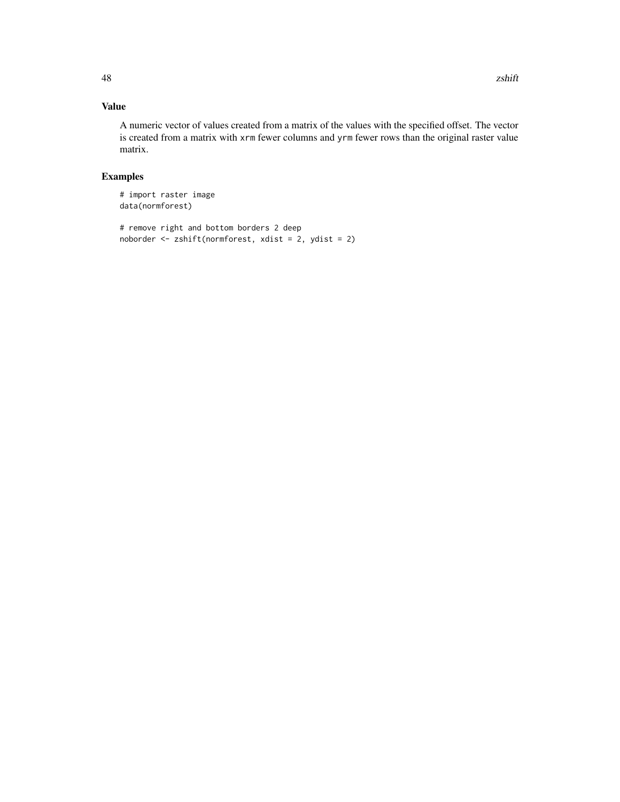# Value

A numeric vector of values created from a matrix of the values with the specified offset. The vector is created from a matrix with xrm fewer columns and yrm fewer rows than the original raster value matrix.

```
# import raster image
data(normforest)
```

```
# remove right and bottom borders 2 deep
noborder <- zshift(normforest, xdist = 2, ydist = 2)
```